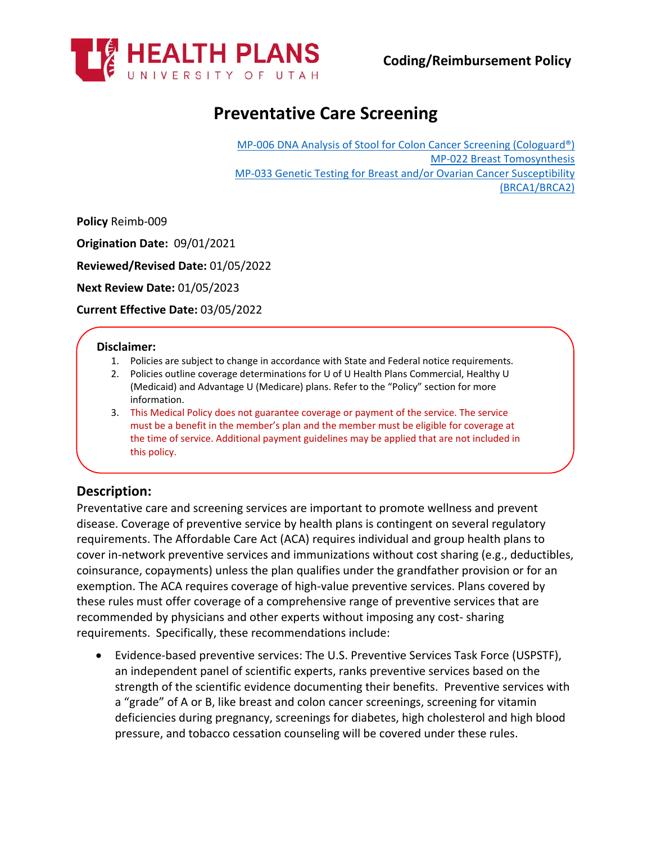

# **Preventative Care Screening**

[MP-006 DNA Analysis of Stool for Colon Cancer Screening \(Cologuard®\)](https://uhealthplan.utah.edu/medicalpolicy/pdf/mp-006.pdf) [MP-022 Breast Tomosynthesis](https://uhealthplan.utah.edu/medicalpolicy/pdf/mp-022.pdf) [MP-033 Genetic Testing for Breast and/or Ovarian Cancer](https://uhealthplan.utah.edu/medicalpolicy/pdf/mp-033.pdf) Susceptibility [\(BRCA1/BRCA2\)](https://uhealthplan.utah.edu/medicalpolicy/pdf/mp-033.pdf)

**Policy** Reimb-009

**Origination Date:** 09/01/2021

**Reviewed/Revised Date:** 01/05/2022

**Next Review Date:** 01/05/2023

**Current Effective Date:** 03/05/2022

#### **Disclaimer:**

- 1. Policies are subject to change in accordance with State and Federal notice requirements.
- 2. Policies outline coverage determinations for U of U Health Plans Commercial, Healthy U (Medicaid) and Advantage U (Medicare) plans. Refer to the "Policy" section for more information.
- 3. This Medical Policy does not guarantee coverage or payment of the service. The service must be a benefit in the member's plan and the member must be eligible for coverage at the time of service. Additional payment guidelines may be applied that are not included in this policy.

### **Description:**

Preventative care and screening services are important to promote wellness and prevent disease. Coverage of preventive service by health plans is contingent on several regulatory requirements. The Affordable Care Act (ACA) requires individual and group health plans to cover in-network preventive services and immunizations without cost sharing (e.g., deductibles, coinsurance, copayments) unless the plan qualifies under the grandfather provision or for an exemption. The ACA requires coverage of high-value preventive services. Plans covered by these rules must offer coverage of a comprehensive range of preventive services that are recommended by physicians and other experts without imposing any cost- sharing requirements. Specifically, these recommendations include:

• Evidence-based preventive services: The U.S. Preventive Services Task Force (USPSTF), an independent panel of scientific experts, ranks preventive services based on the strength of the scientific evidence documenting their benefits. Preventive services with a "grade" of A or B, like breast and colon cancer screenings, screening for vitamin deficiencies during pregnancy, screenings for diabetes, high cholesterol and high blood pressure, and tobacco cessation counseling will be covered under these rules.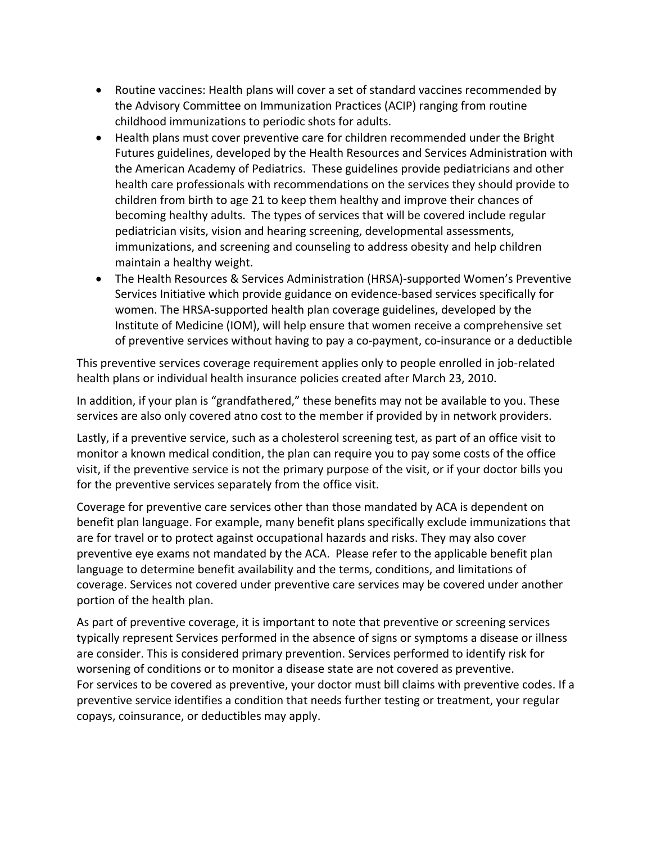- Routine vaccines: Health plans will cover a set of standard vaccines recommended by the Advisory Committee on Immunization Practices (ACIP) ranging from routine childhood immunizations to periodic shots for adults.
- Health plans must cover preventive care for children recommended under the Bright Futures guidelines, developed by the Health Resources and Services Administration with the American Academy of Pediatrics. These guidelines provide pediatricians and other health care professionals with recommendations on the services they should provide to children from birth to age 21 to keep them healthy and improve their chances of becoming healthy adults. The types of services that will be covered include regular pediatrician visits, vision and hearing screening, developmental assessments, immunizations, and screening and counseling to address obesity and help children maintain a healthy weight.
- The Health Resources & Services Administration (HRSA)-supported Women's Preventive Services Initiative which provide guidance on evidence-based services specifically for women. The HRSA-supported health plan coverage guidelines, developed by the Institute of Medicine (IOM), will help ensure that women receive a comprehensive set of preventive services without having to pay a co-payment, co-insurance or a deductible

This preventive services coverage requirement applies only to people enrolled in job-related health plans or individual health insurance policies created after March 23, 2010.

In addition, if your plan is "grandfathered," these benefits may not be available to you. These services are also only covered atno cost to the member if provided by in network providers.

Lastly, if a preventive service, such as a cholesterol screening test, as part of an office visit to monitor a known medical condition, the plan can require you to pay some costs of the office visit, if the preventive service is not the primary purpose of the visit, or if your doctor bills you for the preventive services separately from the office visit.

Coverage for preventive care services other than those mandated by ACA is dependent on benefit plan language. For example, many benefit plans specifically exclude immunizations that are for travel or to protect against occupational hazards and risks. They may also cover preventive eye exams not mandated by the ACA. Please refer to the applicable benefit plan language to determine benefit availability and the terms, conditions, and limitations of coverage. Services not covered under preventive care services may be covered under another portion of the health plan.

As part of preventive coverage, it is important to note that preventive or screening services typically represent Services performed in the absence of signs or symptoms a disease or illness are consider. This is considered primary prevention. Services performed to identify risk for worsening of conditions or to monitor a disease state are not covered as preventive. For services to be covered as preventive, your doctor must bill claims with preventive codes. If a preventive service identifies a condition that needs further testing or treatment, your regular copays, coinsurance, or deductibles may apply.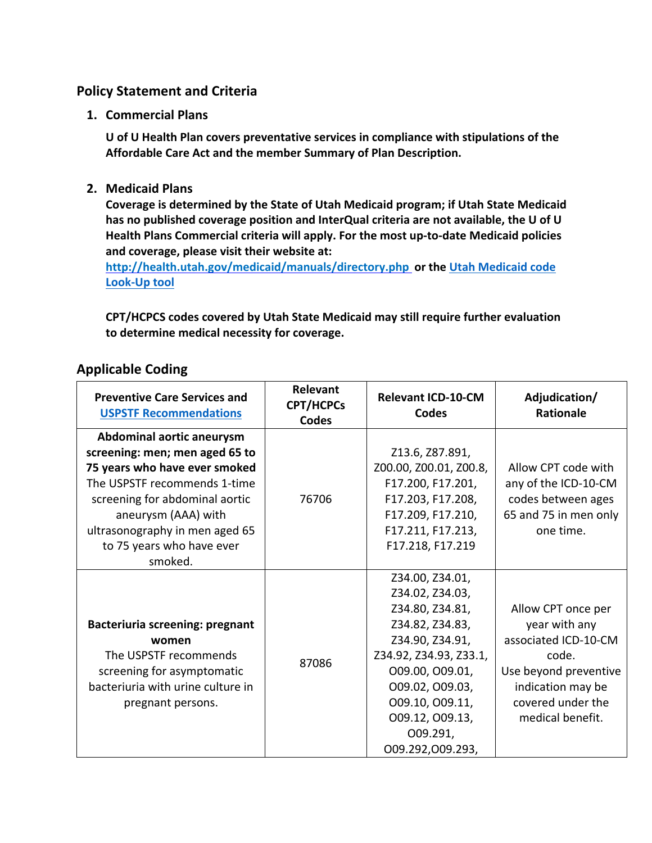## **Policy Statement and Criteria**

**1. Commercial Plans**

**U of U Health Plan covers preventative services in compliance with stipulations of the Affordable Care Act and the member Summary of Plan Description.**

**2. Medicaid Plans**

**Coverage is determined by the State of Utah Medicaid program; if Utah State Medicaid has no published coverage position and InterQual criteria are not available, the U of U Health Plans Commercial criteria will apply. For the most up-to-date Medicaid policies and coverage, please visit their website at:**

**<http://health.utah.gov/medicaid/manuals/directory.php> or the [Utah Medicaid code](https://health.utah.gov/stplan/lookup/CoverageLookup.php)  [Look-Up tool](https://health.utah.gov/stplan/lookup/CoverageLookup.php)**

**CPT/HCPCS codes covered by Utah State Medicaid may still require further evaluation to determine medical necessity for coverage.**

| <b>Applicable Coding</b> |  |
|--------------------------|--|
|--------------------------|--|

| <b>Preventive Care Services and</b><br><b>USPSTF Recommendations</b>                                                                                                                  | Relevant<br><b>CPT/HCPCs</b><br><b>Codes</b> | <b>Relevant ICD-10-CM</b><br><b>Codes</b>                                                                                                                                                                                         | Adjudication/<br><b>Rationale</b>                                                                                                                           |
|---------------------------------------------------------------------------------------------------------------------------------------------------------------------------------------|----------------------------------------------|-----------------------------------------------------------------------------------------------------------------------------------------------------------------------------------------------------------------------------------|-------------------------------------------------------------------------------------------------------------------------------------------------------------|
| Abdominal aortic aneurysm<br>screening: men; men aged 65 to<br>75 years who have ever smoked<br>The USPSTF recommends 1-time<br>screening for abdominal aortic<br>aneurysm (AAA) with | 76706                                        | Z13.6, Z87.891,<br>Z00.00, Z00.01, Z00.8,<br>F17.200, F17.201,<br>F17.203, F17.208,<br>F17.209, F17.210,                                                                                                                          | Allow CPT code with<br>any of the ICD-10-CM<br>codes between ages<br>65 and 75 in men only                                                                  |
| ultrasonography in men aged 65<br>to 75 years who have ever<br>smoked.                                                                                                                |                                              | F17.211, F17.213,<br>F17.218, F17.219                                                                                                                                                                                             | one time.                                                                                                                                                   |
| <b>Bacteriuria screening: pregnant</b><br>women<br>The USPSTF recommends<br>screening for asymptomatic<br>bacteriuria with urine culture in<br>pregnant persons.                      | 87086                                        | Z34.00, Z34.01,<br>Z34.02, Z34.03,<br>Z34.80, Z34.81,<br>Z34.82, Z34.83,<br>Z34.90, Z34.91,<br>Z34.92, Z34.93, Z33.1,<br>O09.00, O09.01,<br>009.02, 009.03,<br>009.10, 009.11,<br>009.12, 009.13,<br>O09.291,<br>009.292,009.293, | Allow CPT once per<br>year with any<br>associated ICD-10-CM<br>code.<br>Use beyond preventive<br>indication may be<br>covered under the<br>medical benefit. |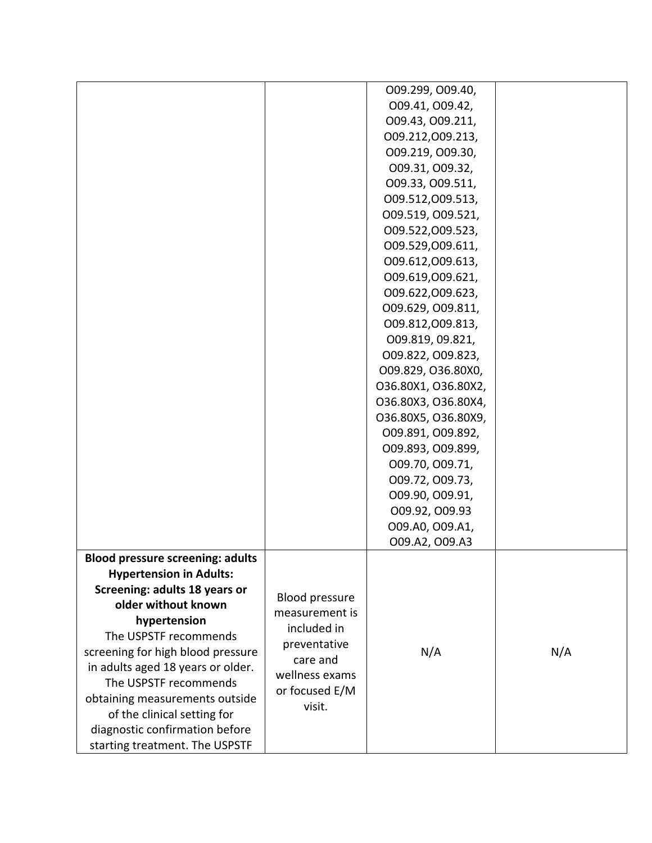|                                         |                       | 009.299, 009.40,    |     |
|-----------------------------------------|-----------------------|---------------------|-----|
|                                         |                       | 009.41, 009.42,     |     |
|                                         |                       | 009.43, 009.211,    |     |
|                                         |                       | 009.212,009.213,    |     |
|                                         |                       | 009.219, 009.30,    |     |
|                                         |                       | 009.31, 009.32,     |     |
|                                         |                       | 009.33, 009.511,    |     |
|                                         |                       | 009.512,009.513,    |     |
|                                         |                       | 009.519, 009.521,   |     |
|                                         |                       | 009.522,009.523,    |     |
|                                         |                       | 009.529,009.611,    |     |
|                                         |                       | 009.612,009.613,    |     |
|                                         |                       | 009.619,009.621,    |     |
|                                         |                       | 009.622,009.623,    |     |
|                                         |                       | 009.629, 009.811,   |     |
|                                         |                       | 009.812,009.813,    |     |
|                                         |                       | 009.819, 09.821,    |     |
|                                         |                       | 009.822, 009.823,   |     |
|                                         |                       | O09.829, O36.80X0,  |     |
|                                         |                       | 036.80X1, 036.80X2, |     |
|                                         |                       | O36.80X3, O36.80X4, |     |
|                                         |                       | O36.80X5, O36.80X9, |     |
|                                         |                       | 009.891, 009.892,   |     |
|                                         |                       | 009.893, 009.899,   |     |
|                                         |                       | 009.70, 009.71,     |     |
|                                         |                       | 009.72, 009.73,     |     |
|                                         |                       | 009.90, 009.91,     |     |
|                                         |                       | 009.92, 009.93      |     |
|                                         |                       | 009.A0, 009.A1,     |     |
|                                         |                       | 009.A2, 009.A3      |     |
| <b>Blood pressure screening: adults</b> |                       |                     |     |
| <b>Hypertension in Adults:</b>          |                       |                     |     |
| Screening: adults 18 years or           |                       |                     |     |
| older without known                     | <b>Blood pressure</b> |                     |     |
| hypertension                            | measurement is        |                     |     |
| The USPSTF recommends                   | included in           |                     |     |
| screening for high blood pressure       | preventative          | N/A                 | N/A |
| in adults aged 18 years or older.       | care and              |                     |     |
| The USPSTF recommends                   | wellness exams        |                     |     |
| obtaining measurements outside          | or focused E/M        |                     |     |
| of the clinical setting for             | visit.                |                     |     |
| diagnostic confirmation before          |                       |                     |     |
| starting treatment. The USPSTF          |                       |                     |     |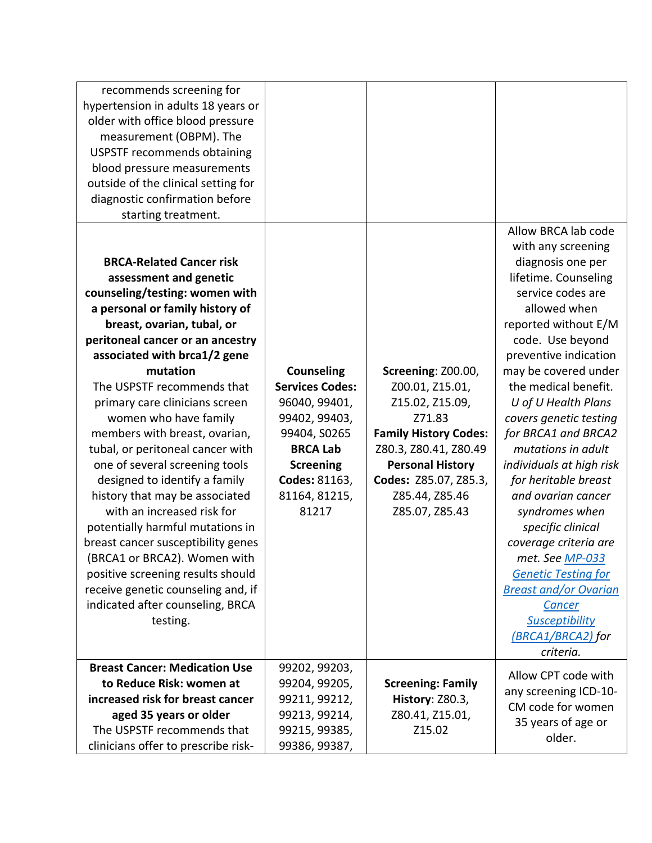| recommends screening for             |                        |                              |                                            |
|--------------------------------------|------------------------|------------------------------|--------------------------------------------|
| hypertension in adults 18 years or   |                        |                              |                                            |
| older with office blood pressure     |                        |                              |                                            |
| measurement (OBPM). The              |                        |                              |                                            |
| <b>USPSTF recommends obtaining</b>   |                        |                              |                                            |
| blood pressure measurements          |                        |                              |                                            |
| outside of the clinical setting for  |                        |                              |                                            |
| diagnostic confirmation before       |                        |                              |                                            |
| starting treatment.                  |                        |                              |                                            |
|                                      |                        |                              | Allow BRCA lab code                        |
|                                      |                        |                              | with any screening                         |
| <b>BRCA-Related Cancer risk</b>      |                        |                              | diagnosis one per                          |
| assessment and genetic               |                        |                              | lifetime. Counseling                       |
| counseling/testing: women with       |                        |                              | service codes are                          |
| a personal or family history of      |                        |                              | allowed when                               |
| breast, ovarian, tubal, or           |                        |                              | reported without E/M                       |
| peritoneal cancer or an ancestry     |                        |                              | code. Use beyond                           |
| associated with brca1/2 gene         |                        |                              | preventive indication                      |
| mutation                             | <b>Counseling</b>      | Screening: Z00.00,           | may be covered under                       |
| The USPSTF recommends that           | <b>Services Codes:</b> | Z00.01, Z15.01,              | the medical benefit.                       |
| primary care clinicians screen       | 96040, 99401,          | Z15.02, Z15.09,              | U of U Health Plans                        |
| women who have family                | 99402, 99403,          | Z71.83                       | covers genetic testing                     |
| members with breast, ovarian,        | 99404, S0265           | <b>Family History Codes:</b> | for BRCA1 and BRCA2                        |
| tubal, or peritoneal cancer with     | <b>BRCA Lab</b>        | Z80.3, Z80.41, Z80.49        | mutations in adult                         |
| one of several screening tools       | <b>Screening</b>       | <b>Personal History</b>      | individuals at high risk                   |
| designed to identify a family        | Codes: 81163,          | Codes: Z85.07, Z85.3,        | for heritable breast                       |
| history that may be associated       | 81164, 81215,          | Z85.44, Z85.46               | and ovarian cancer                         |
| with an increased risk for           | 81217                  | Z85.07, Z85.43               | syndromes when                             |
| potentially harmful mutations in     |                        |                              | specific clinical                          |
| breast cancer susceptibility genes   |                        |                              | coverage criteria are                      |
| (BRCA1 or BRCA2). Women with         |                        |                              | met. See MP-033                            |
| positive screening results should    |                        |                              | <b>Genetic Testing for</b>                 |
| receive genetic counseling and, if   |                        |                              | <b>Breast and/or Ovarian</b>               |
| indicated after counseling, BRCA     |                        |                              | <b>Cancer</b>                              |
| testing.                             |                        |                              | Susceptibility                             |
|                                      |                        |                              | (BRCA1/BRCA2) for                          |
|                                      |                        |                              | criteria.                                  |
| <b>Breast Cancer: Medication Use</b> | 99202, 99203,          |                              |                                            |
| to Reduce Risk: women at             | 99204, 99205,          | <b>Screening: Family</b>     | Allow CPT code with                        |
| increased risk for breast cancer     | 99211, 99212,          | History: Z80.3,              | any screening ICD-10-<br>CM code for women |
| aged 35 years or older               | 99213, 99214,          | Z80.41, Z15.01,              |                                            |
| The USPSTF recommends that           | 99215, 99385,          | Z15.02                       | 35 years of age or                         |
| clinicians offer to prescribe risk-  | 99386, 99387,          |                              | older.                                     |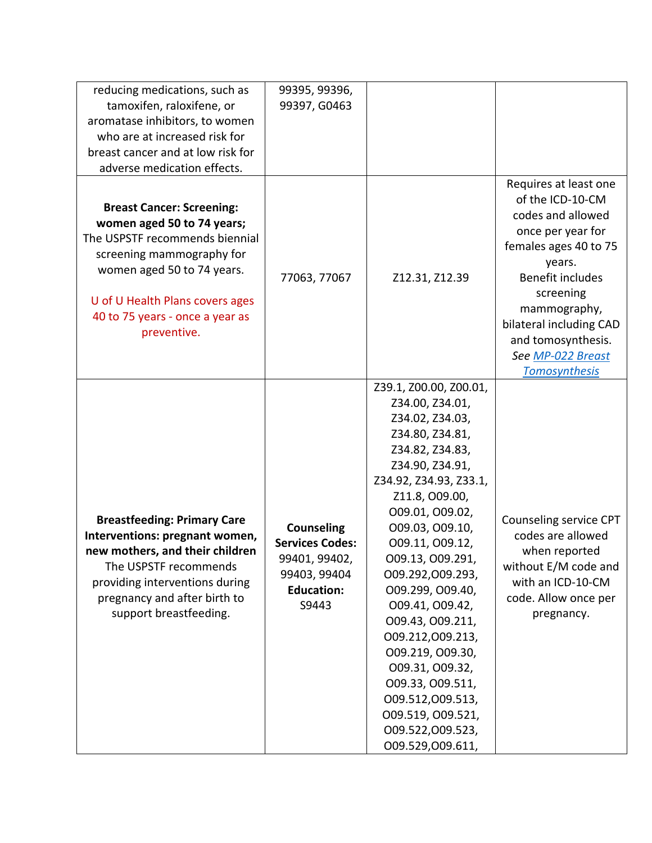| reducing medications, such as<br>tamoxifen, raloxifene, or<br>aromatase inhibitors, to women<br>who are at increased risk for<br>breast cancer and at low risk for                                                                                                              | 99395, 99396,<br>99397, G0463                                                                              |                                                                                                                                                                                                                                                                                                                                                                                                                                                                                               |                                                                                                                                                                                                                                                                       |
|---------------------------------------------------------------------------------------------------------------------------------------------------------------------------------------------------------------------------------------------------------------------------------|------------------------------------------------------------------------------------------------------------|-----------------------------------------------------------------------------------------------------------------------------------------------------------------------------------------------------------------------------------------------------------------------------------------------------------------------------------------------------------------------------------------------------------------------------------------------------------------------------------------------|-----------------------------------------------------------------------------------------------------------------------------------------------------------------------------------------------------------------------------------------------------------------------|
| adverse medication effects.<br><b>Breast Cancer: Screening:</b><br>women aged 50 to 74 years;<br>The USPSTF recommends biennial<br>screening mammography for<br>women aged 50 to 74 years.<br>U of U Health Plans covers ages<br>40 to 75 years - once a year as<br>preventive. | 77063, 77067                                                                                               | Z12.31, Z12.39                                                                                                                                                                                                                                                                                                                                                                                                                                                                                | Requires at least one<br>of the ICD-10-CM<br>codes and allowed<br>once per year for<br>females ages 40 to 75<br>years.<br>Benefit includes<br>screening<br>mammography,<br>bilateral including CAD<br>and tomosynthesis.<br>See MP-022 Breast<br><b>Tomosynthesis</b> |
| <b>Breastfeeding: Primary Care</b><br>Interventions: pregnant women,<br>new mothers, and their children<br>The USPSTF recommends<br>providing interventions during<br>pregnancy and after birth to<br>support breastfeeding.                                                    | <b>Counseling</b><br><b>Services Codes:</b><br>99401, 99402,<br>99403, 99404<br><b>Education:</b><br>S9443 | Z39.1, Z00.00, Z00.01,<br>Z34.00, Z34.01,<br>Z34.02, Z34.03,<br>Z34.80, Z34.81,<br>Z34.82, Z34.83,<br>Z34.90, Z34.91,<br>Z34.92, Z34.93, Z33.1,<br>Z11.8, O09.00,<br>009.01, 009.02,<br>009.03, 009.10,<br>009.11, 009.12,<br>009.13, 009.291,<br>009.292,009.293,<br>O09.299, O09.40,<br>009.41, 009.42,<br>009.43, 009.211,<br>009.212,009.213,<br>009.219, 009.30,<br>009.31, 009.32,<br>009.33, 009.511,<br>009.512,009.513,<br>009.519, 009.521,<br>009.522,009.523,<br>009.529,009.611, | Counseling service CPT<br>codes are allowed<br>when reported<br>without E/M code and<br>with an ICD-10-CM<br>code. Allow once per<br>pregnancy.                                                                                                                       |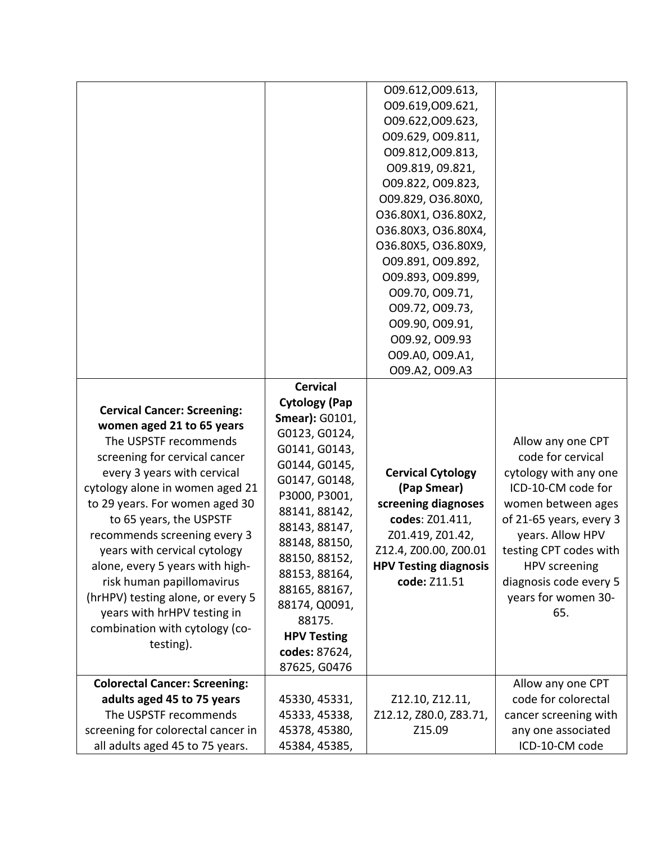|                                      |                       | 009.612,009.613,             |                         |
|--------------------------------------|-----------------------|------------------------------|-------------------------|
|                                      |                       | 009.619,009.621,             |                         |
|                                      |                       | 009.622,009.623,             |                         |
|                                      |                       | 009.629, 009.811,            |                         |
|                                      |                       | 009.812,009.813,             |                         |
|                                      |                       | 009.819, 09.821,             |                         |
|                                      |                       | 009.822, 009.823,            |                         |
|                                      |                       | O09.829, O36.80X0,           |                         |
|                                      |                       | O36.80X1, O36.80X2,          |                         |
|                                      |                       | O36.80X3, O36.80X4,          |                         |
|                                      |                       | O36.80X5, O36.80X9,          |                         |
|                                      |                       | 009.891, 009.892,            |                         |
|                                      |                       | 009.893, 009.899,            |                         |
|                                      |                       | 009.70, 009.71,              |                         |
|                                      |                       | 009.72, 009.73,              |                         |
|                                      |                       | 009.90, 009.91,              |                         |
|                                      |                       | 009.92, 009.93               |                         |
|                                      |                       | 009.A0, 009.A1,              |                         |
|                                      |                       | 009.A2, 009.A3               |                         |
|                                      | <b>Cervical</b>       |                              |                         |
|                                      | <b>Cytology (Pap</b>  |                              |                         |
| <b>Cervical Cancer: Screening:</b>   | <b>Smear): G0101,</b> |                              |                         |
| women aged 21 to 65 years            | G0123, G0124,         |                              |                         |
| The USPSTF recommends                | G0141, G0143,         |                              | Allow any one CPT       |
| screening for cervical cancer        | G0144, G0145,         |                              | code for cervical       |
| every 3 years with cervical          | G0147, G0148,         | <b>Cervical Cytology</b>     | cytology with any one   |
| cytology alone in women aged 21      | P3000, P3001,         | (Pap Smear)                  | ICD-10-CM code for      |
| to 29 years. For women aged 30       | 88141, 88142,         | screening diagnoses          | women between ages      |
| to 65 years, the USPSTF              | 88143, 88147,         | codes: Z01.411,              | of 21-65 years, every 3 |
| recommends screening every 3         | 88148, 88150,         | Z01.419, Z01.42,             | years. Allow HPV        |
| years with cervical cytology         | 88150, 88152,         | Z12.4, Z00.00, Z00.01        | testing CPT codes with  |
| alone, every 5 years with high-      | 88153, 88164,         | <b>HPV Testing diagnosis</b> | HPV screening           |
| risk human papillomavirus            | 88165, 88167,         | code: Z11.51                 | diagnosis code every 5  |
| (hrHPV) testing alone, or every 5    | 88174, Q0091,         |                              | years for women 30-     |
| years with hrHPV testing in          | 88175.                |                              | 65.                     |
| combination with cytology (co-       | <b>HPV Testing</b>    |                              |                         |
| testing).                            | codes: 87624,         |                              |                         |
|                                      | 87625, G0476          |                              |                         |
| <b>Colorectal Cancer: Screening:</b> |                       |                              | Allow any one CPT       |
| adults aged 45 to 75 years           | 45330, 45331,         | Z12.10, Z12.11,              | code for colorectal     |
| The USPSTF recommends                | 45333, 45338,         | Z12.12, Z80.0, Z83.71,       | cancer screening with   |
|                                      |                       | Z15.09                       |                         |
| screening for colorectal cancer in   | 45378, 45380,         |                              | any one associated      |
| all adults aged 45 to 75 years.      | 45384, 45385,         |                              | ICD-10-CM code          |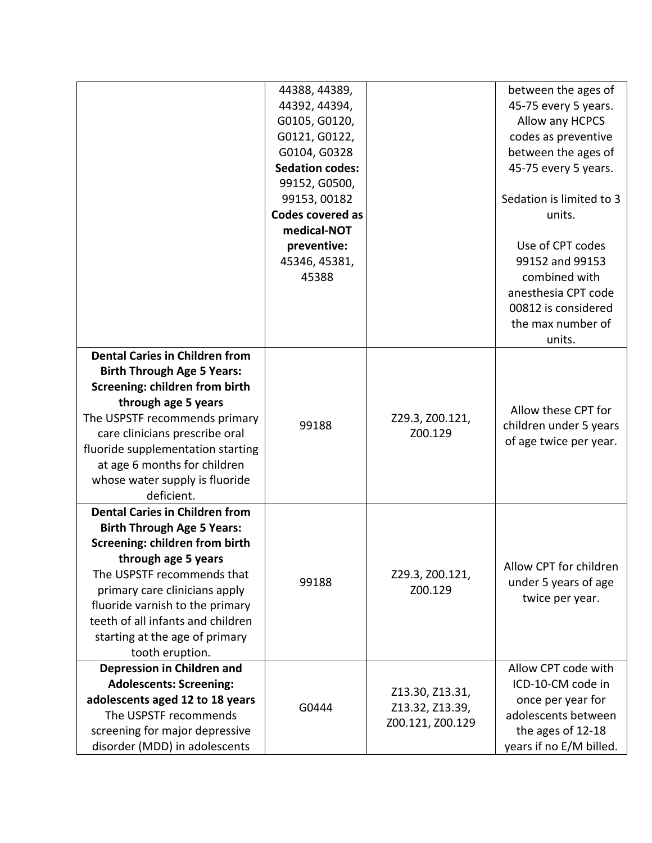|                                       | 44388, 44389,          |                  | between the ages of      |
|---------------------------------------|------------------------|------------------|--------------------------|
|                                       | 44392, 44394,          |                  | 45-75 every 5 years.     |
|                                       | G0105, G0120,          |                  | Allow any HCPCS          |
|                                       | G0121, G0122,          |                  | codes as preventive      |
|                                       | G0104, G0328           |                  | between the ages of      |
|                                       | <b>Sedation codes:</b> |                  | 45-75 every 5 years.     |
|                                       | 99152, G0500,          |                  |                          |
|                                       | 99153, 00182           |                  | Sedation is limited to 3 |
|                                       | Codes covered as       |                  | units.                   |
|                                       | medical-NOT            |                  |                          |
|                                       | preventive:            |                  | Use of CPT codes         |
|                                       | 45346, 45381,          |                  | 99152 and 99153          |
|                                       | 45388                  |                  | combined with            |
|                                       |                        |                  | anesthesia CPT code      |
|                                       |                        |                  | 00812 is considered      |
|                                       |                        |                  | the max number of        |
|                                       |                        |                  | units.                   |
| <b>Dental Caries in Children from</b> |                        |                  |                          |
| <b>Birth Through Age 5 Years:</b>     |                        |                  |                          |
| <b>Screening: children from birth</b> |                        |                  |                          |
| through age 5 years                   |                        |                  |                          |
| The USPSTF recommends primary         |                        | Z29.3, Z00.121,  | Allow these CPT for      |
| care clinicians prescribe oral        | 99188                  | Z00.129          | children under 5 years   |
| fluoride supplementation starting     |                        |                  | of age twice per year.   |
| at age 6 months for children          |                        |                  |                          |
| whose water supply is fluoride        |                        |                  |                          |
| deficient.                            |                        |                  |                          |
| <b>Dental Caries in Children from</b> |                        |                  |                          |
| <b>Birth Through Age 5 Years:</b>     |                        |                  |                          |
| <b>Screening: children from birth</b> |                        |                  |                          |
| through age 5 years                   |                        |                  |                          |
| The USPSTF recommends that            |                        | Z29.3, Z00.121,  | Allow CPT for children   |
| primary care clinicians apply         | 99188                  | Z00.129          | under 5 years of age     |
| fluoride varnish to the primary       |                        |                  | twice per year.          |
| teeth of all infants and children     |                        |                  |                          |
| starting at the age of primary        |                        |                  |                          |
| tooth eruption.                       |                        |                  |                          |
| Depression in Children and            |                        |                  | Allow CPT code with      |
| <b>Adolescents: Screening:</b>        |                        |                  | ICD-10-CM code in        |
| adolescents aged 12 to 18 years       | G0444                  | Z13.30, Z13.31,  | once per year for        |
| The USPSTF recommends                 |                        | Z13.32, Z13.39,  | adolescents between      |
| screening for major depressive        |                        | Z00.121, Z00.129 | the ages of 12-18        |
| disorder (MDD) in adolescents         |                        |                  | years if no E/M billed.  |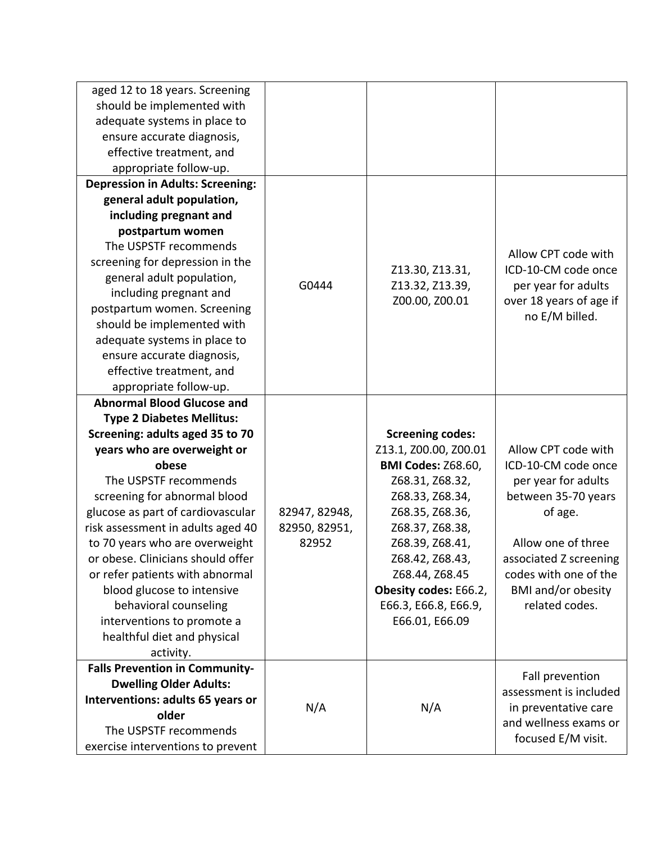| aged 12 to 18 years. Screening<br>should be implemented with<br>adequate systems in place to<br>ensure accurate diagnosis,<br>effective treatment, and<br>appropriate follow-up. |               |                                                  |                                           |
|----------------------------------------------------------------------------------------------------------------------------------------------------------------------------------|---------------|--------------------------------------------------|-------------------------------------------|
| <b>Depression in Adults: Screening:</b>                                                                                                                                          |               |                                                  |                                           |
| general adult population,                                                                                                                                                        |               |                                                  |                                           |
| including pregnant and                                                                                                                                                           |               |                                                  |                                           |
| postpartum women                                                                                                                                                                 |               |                                                  |                                           |
| The USPSTF recommends                                                                                                                                                            |               |                                                  | Allow CPT code with                       |
| screening for depression in the                                                                                                                                                  |               | Z13.30, Z13.31,                                  | ICD-10-CM code once                       |
| general adult population,                                                                                                                                                        | G0444         | Z13.32, Z13.39,                                  | per year for adults                       |
| including pregnant and                                                                                                                                                           |               | Z00.00, Z00.01                                   | over 18 years of age if                   |
| postpartum women. Screening                                                                                                                                                      |               |                                                  | no E/M billed.                            |
| should be implemented with                                                                                                                                                       |               |                                                  |                                           |
| adequate systems in place to                                                                                                                                                     |               |                                                  |                                           |
| ensure accurate diagnosis,                                                                                                                                                       |               |                                                  |                                           |
| effective treatment, and                                                                                                                                                         |               |                                                  |                                           |
| appropriate follow-up.                                                                                                                                                           |               |                                                  |                                           |
| <b>Abnormal Blood Glucose and</b>                                                                                                                                                |               |                                                  |                                           |
| <b>Type 2 Diabetes Mellitus:</b>                                                                                                                                                 |               |                                                  |                                           |
| Screening: adults aged 35 to 70                                                                                                                                                  |               | <b>Screening codes:</b><br>Z13.1, Z00.00, Z00.01 | Allow CPT code with                       |
| years who are overweight or<br>obese                                                                                                                                             |               | <b>BMI Codes: Z68.60,</b>                        | ICD-10-CM code once                       |
| The USPSTF recommends                                                                                                                                                            |               | Z68.31, Z68.32,                                  | per year for adults                       |
| screening for abnormal blood                                                                                                                                                     |               | Z68.33, Z68.34,                                  | between 35-70 years                       |
| glucose as part of cardiovascular                                                                                                                                                | 82947, 82948, | Z68.35, Z68.36,                                  | of age.                                   |
| risk assessment in adults aged 40                                                                                                                                                | 82950, 82951, | Z68.37, Z68.38,                                  |                                           |
| to 70 years who are overweight                                                                                                                                                   | 82952         | Z68.39, Z68.41,                                  | Allow one of three                        |
| or obese. Clinicians should offer                                                                                                                                                |               | Z68.42, Z68.43,                                  | associated Z screening                    |
| or refer patients with abnormal                                                                                                                                                  |               | Z68.44, Z68.45                                   | codes with one of the                     |
| blood glucose to intensive                                                                                                                                                       |               | Obesity codes: E66.2,                            | <b>BMI</b> and/or obesity                 |
| behavioral counseling                                                                                                                                                            |               | E66.3, E66.8, E66.9,                             | related codes.                            |
| interventions to promote a                                                                                                                                                       |               | E66.01, E66.09                                   |                                           |
| healthful diet and physical                                                                                                                                                      |               |                                                  |                                           |
| activity.                                                                                                                                                                        |               |                                                  |                                           |
| <b>Falls Prevention in Community-</b>                                                                                                                                            |               |                                                  |                                           |
| <b>Dwelling Older Adults:</b>                                                                                                                                                    |               |                                                  | Fall prevention<br>assessment is included |
| Interventions: adults 65 years or                                                                                                                                                | N/A           | N/A                                              | in preventative care                      |
| older                                                                                                                                                                            |               |                                                  | and wellness exams or                     |
| The USPSTF recommends                                                                                                                                                            |               |                                                  | focused E/M visit.                        |
| exercise interventions to prevent                                                                                                                                                |               |                                                  |                                           |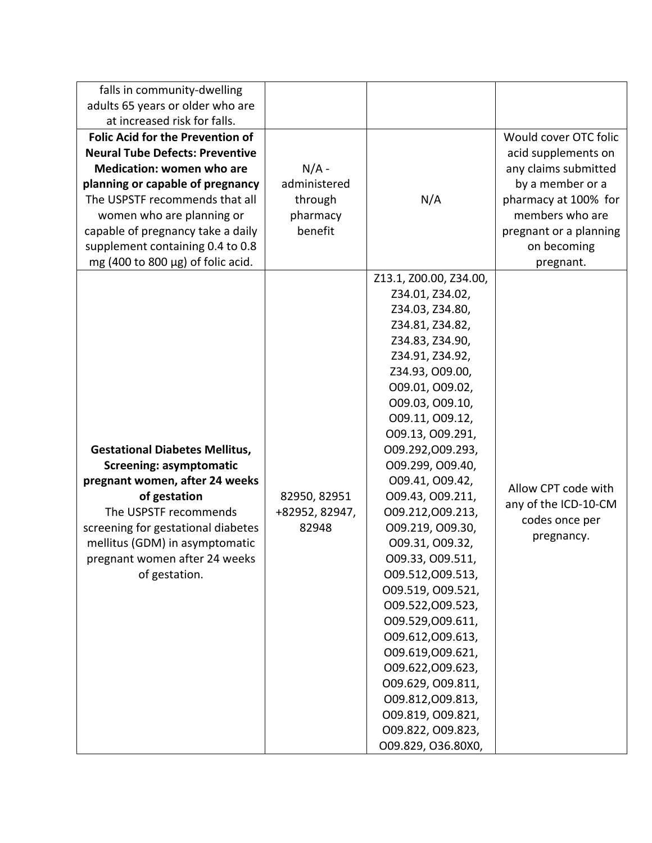| falls in community-dwelling<br>adults 65 years or older who are<br>at increased risk for falls.<br><b>Folic Acid for the Prevention of</b><br><b>Neural Tube Defects: Preventive</b><br><b>Medication: women who are</b><br>planning or capable of pregnancy<br>The USPSTF recommends that all<br>women who are planning or<br>capable of pregnancy take a daily<br>supplement containing 0.4 to 0.8<br>mg (400 to 800 $\mu$ g) of folic acid. | $N/A$ -<br>administered<br>through<br>pharmacy<br>benefit | N/A                                                                                                                                                                                                                                                                                                                                                                                                                                                                                                                                                                                                                                       | Would cover OTC folic<br>acid supplements on<br>any claims submitted<br>by a member or a<br>pharmacy at 100% for<br>members who are<br>pregnant or a planning<br>on becoming<br>pregnant. |
|------------------------------------------------------------------------------------------------------------------------------------------------------------------------------------------------------------------------------------------------------------------------------------------------------------------------------------------------------------------------------------------------------------------------------------------------|-----------------------------------------------------------|-------------------------------------------------------------------------------------------------------------------------------------------------------------------------------------------------------------------------------------------------------------------------------------------------------------------------------------------------------------------------------------------------------------------------------------------------------------------------------------------------------------------------------------------------------------------------------------------------------------------------------------------|-------------------------------------------------------------------------------------------------------------------------------------------------------------------------------------------|
| <b>Gestational Diabetes Mellitus,</b><br><b>Screening: asymptomatic</b><br>pregnant women, after 24 weeks<br>of gestation<br>The USPSTF recommends<br>screening for gestational diabetes<br>mellitus (GDM) in asymptomatic<br>pregnant women after 24 weeks<br>of gestation.                                                                                                                                                                   | 82950, 82951<br>+82952, 82947,<br>82948                   | Z13.1, Z00.00, Z34.00,<br>Z34.01, Z34.02,<br>Z34.03, Z34.80,<br>Z34.81, Z34.82,<br>Z34.83, Z34.90,<br>Z34.91, Z34.92,<br>Z34.93, O09.00,<br>009.01, 009.02,<br>009.03, 009.10,<br>009.11, 009.12,<br>009.13, 009.291,<br>009.292,009.293,<br>O09.299, O09.40,<br>009.41, 009.42,<br>009.43, 009.211,<br>009.212,009.213,<br>009.219, 009.30,<br>009.31, 009.32,<br>009.33, 009.511,<br>009.512,009.513,<br>009.519, 009.521,<br>009.522,009.523,<br>009.529,009.611,<br>009.612,009.613,<br>009.619,009.621,<br>009.622,009.623,<br>009.629, 009.811,<br>009.812,009.813,<br>009.819, 009.821,<br>009.822, 009.823,<br>O09.829, O36.80X0, | Allow CPT code with<br>any of the ICD-10-CM<br>codes once per<br>pregnancy.                                                                                                               |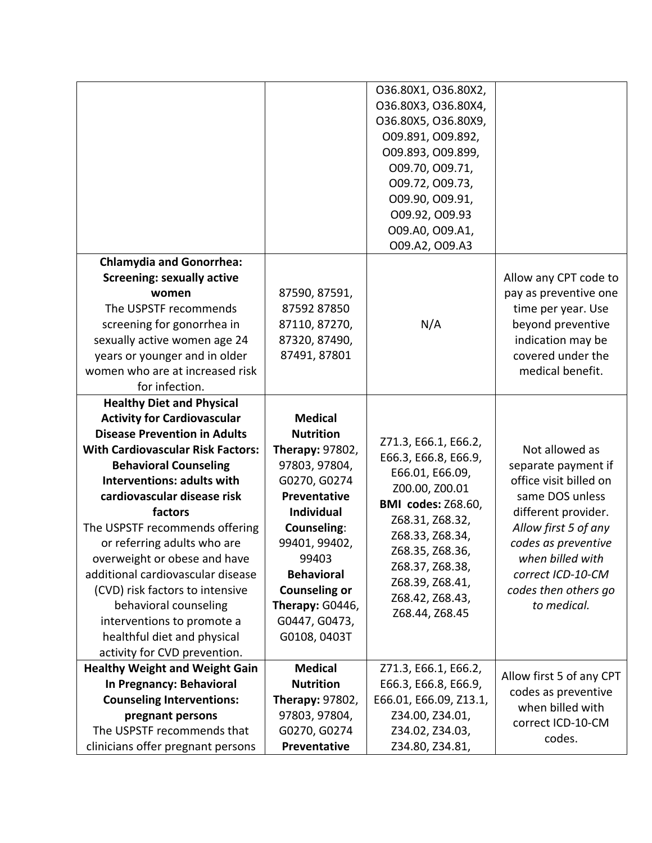|                                                                                                                                                                                                                                                                                                                                                                                                                                                                                                                                                                         |                                                                                                                                                                                                                                                                              | 036.80X1, 036.80X2,<br>O36.80X3, O36.80X4,<br>O36.80X5, O36.80X9,<br>009.891, 009.892,<br>009.893, 009.899,<br>009.70, 009.71,<br>009.72, 009.73,<br>009.90, 009.91,<br>009.92, 009.93<br>009.A0, 009.A1,<br>009.A2, 009.A3                        |                                                                                                                                                                                                                                          |
|-------------------------------------------------------------------------------------------------------------------------------------------------------------------------------------------------------------------------------------------------------------------------------------------------------------------------------------------------------------------------------------------------------------------------------------------------------------------------------------------------------------------------------------------------------------------------|------------------------------------------------------------------------------------------------------------------------------------------------------------------------------------------------------------------------------------------------------------------------------|----------------------------------------------------------------------------------------------------------------------------------------------------------------------------------------------------------------------------------------------------|------------------------------------------------------------------------------------------------------------------------------------------------------------------------------------------------------------------------------------------|
| <b>Chlamydia and Gonorrhea:</b><br><b>Screening: sexually active</b><br>women<br>The USPSTF recommends<br>screening for gonorrhea in<br>sexually active women age 24<br>years or younger and in older<br>women who are at increased risk<br>for infection.                                                                                                                                                                                                                                                                                                              | 87590, 87591,<br>87592 87850<br>87110, 87270,<br>87320, 87490,<br>87491, 87801                                                                                                                                                                                               | N/A                                                                                                                                                                                                                                                | Allow any CPT code to<br>pay as preventive one<br>time per year. Use<br>beyond preventive<br>indication may be<br>covered under the<br>medical benefit.                                                                                  |
| <b>Healthy Diet and Physical</b><br><b>Activity for Cardiovascular</b><br><b>Disease Prevention in Adults</b><br><b>With Cardiovascular Risk Factors:</b><br><b>Behavioral Counseling</b><br><b>Interventions: adults with</b><br>cardiovascular disease risk<br>factors<br>The USPSTF recommends offering<br>or referring adults who are<br>overweight or obese and have<br>additional cardiovascular disease<br>(CVD) risk factors to intensive<br>behavioral counseling<br>interventions to promote a<br>healthful diet and physical<br>activity for CVD prevention. | <b>Medical</b><br><b>Nutrition</b><br><b>Therapy: 97802,</b><br>97803, 97804,<br>G0270, G0274<br>Preventative<br><b>Individual</b><br>Counseling:<br>99401, 99402,<br>99403<br><b>Behavioral</b><br><b>Counseling or</b><br>Therapy: G0446,<br>G0447, G0473,<br>G0108, 0403T | Z71.3, E66.1, E66.2,<br>E66.3, E66.8, E66.9,<br>E66.01, E66.09,<br>Z00.00, Z00.01<br><b>BMI</b> codes: Z68.60,<br>Z68.31, Z68.32,<br>Z68.33, Z68.34,<br>Z68.35, Z68.36,<br>Z68.37, Z68.38,<br>Z68.39, Z68.41,<br>Z68.42, Z68.43,<br>Z68.44, Z68.45 | Not allowed as<br>separate payment if<br>office visit billed on<br>same DOS unless<br>different provider.<br>Allow first 5 of any<br>codes as preventive<br>when billed with<br>correct ICD-10-CM<br>codes then others go<br>to medical. |
| <b>Healthy Weight and Weight Gain</b><br>In Pregnancy: Behavioral<br><b>Counseling Interventions:</b><br>pregnant persons<br>The USPSTF recommends that<br>clinicians offer pregnant persons                                                                                                                                                                                                                                                                                                                                                                            | <b>Medical</b><br><b>Nutrition</b><br>Therapy: 97802,<br>97803, 97804,<br>G0270, G0274<br>Preventative                                                                                                                                                                       | Z71.3, E66.1, E66.2,<br>E66.3, E66.8, E66.9,<br>E66.01, E66.09, Z13.1,<br>Z34.00, Z34.01,<br>Z34.02, Z34.03,<br>Z34.80, Z34.81,                                                                                                                    | Allow first 5 of any CPT<br>codes as preventive<br>when billed with<br>correct ICD-10-CM<br>codes.                                                                                                                                       |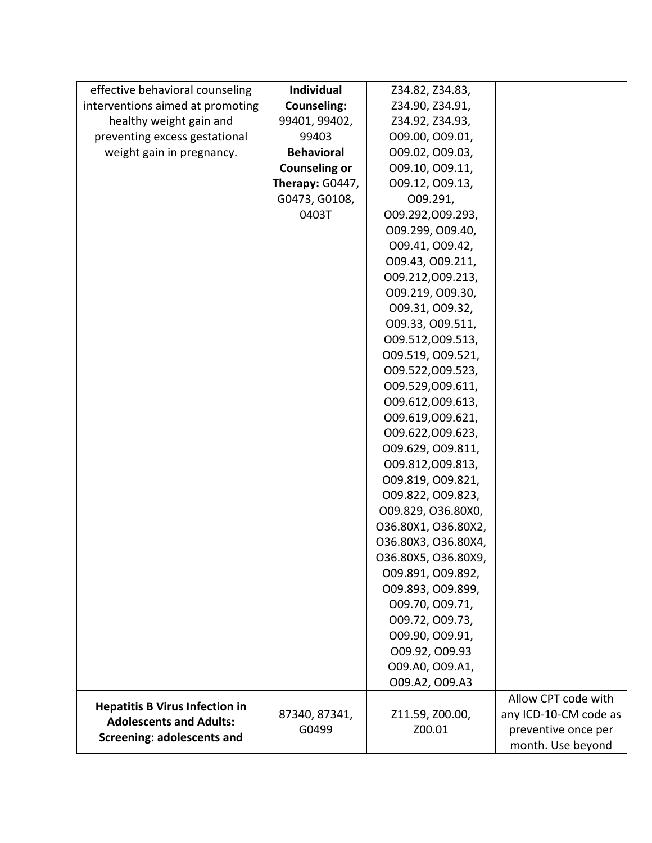| effective behavioral counseling       | Individual           | Z34.82, Z34.83,     |                       |
|---------------------------------------|----------------------|---------------------|-----------------------|
| interventions aimed at promoting      | <b>Counseling:</b>   | Z34.90, Z34.91,     |                       |
| healthy weight gain and               | 99401, 99402,        | Z34.92, Z34.93,     |                       |
| preventing excess gestational         | 99403                | 009.00, 009.01,     |                       |
| weight gain in pregnancy.             | <b>Behavioral</b>    | 009.02, 009.03,     |                       |
|                                       | <b>Counseling or</b> | 009.10, 009.11,     |                       |
|                                       | Therapy: G0447,      | 009.12, 009.13,     |                       |
|                                       | G0473, G0108,        | O09.291,            |                       |
|                                       | 0403T                | 009.292,009.293,    |                       |
|                                       |                      | O09.299, O09.40,    |                       |
|                                       |                      | 009.41, 009.42,     |                       |
|                                       |                      | 009.43, 009.211,    |                       |
|                                       |                      | 009.212,009.213,    |                       |
|                                       |                      | 009.219, 009.30,    |                       |
|                                       |                      | 009.31, 009.32,     |                       |
|                                       |                      | 009.33, 009.511,    |                       |
|                                       |                      | 009.512,009.513,    |                       |
|                                       |                      | 009.519, 009.521,   |                       |
|                                       |                      | 009.522,009.523,    |                       |
|                                       |                      | 009.529,009.611,    |                       |
|                                       |                      | 009.612,009.613,    |                       |
|                                       |                      | 009.619,009.621,    |                       |
|                                       |                      | 009.622,009.623,    |                       |
|                                       |                      | 009.629, 009.811,   |                       |
|                                       |                      | 009.812,009.813,    |                       |
|                                       |                      | 009.819, 009.821,   |                       |
|                                       |                      | 009.822, 009.823,   |                       |
|                                       |                      | O09.829, O36.80X0,  |                       |
|                                       |                      | 036.80X1, 036.80X2, |                       |
|                                       |                      | O36.80X3, O36.80X4, |                       |
|                                       |                      | O36.80X5, O36.80X9, |                       |
|                                       |                      | 009.891, 009.892,   |                       |
|                                       |                      | 009.893, 009.899,   |                       |
|                                       |                      | 009.70, 009.71,     |                       |
|                                       |                      | 009.72, 009.73,     |                       |
|                                       |                      | 009.90, 009.91,     |                       |
|                                       |                      | 009.92, 009.93      |                       |
|                                       |                      | 009.A0, 009.A1,     |                       |
|                                       |                      | 009.A2, 009.A3      |                       |
| <b>Hepatitis B Virus Infection in</b> |                      |                     | Allow CPT code with   |
| <b>Adolescents and Adults:</b>        | 87340, 87341,        | Z11.59, Z00.00,     | any ICD-10-CM code as |
| <b>Screening: adolescents and</b>     | G0499                | Z00.01              | preventive once per   |
|                                       |                      |                     | month. Use beyond     |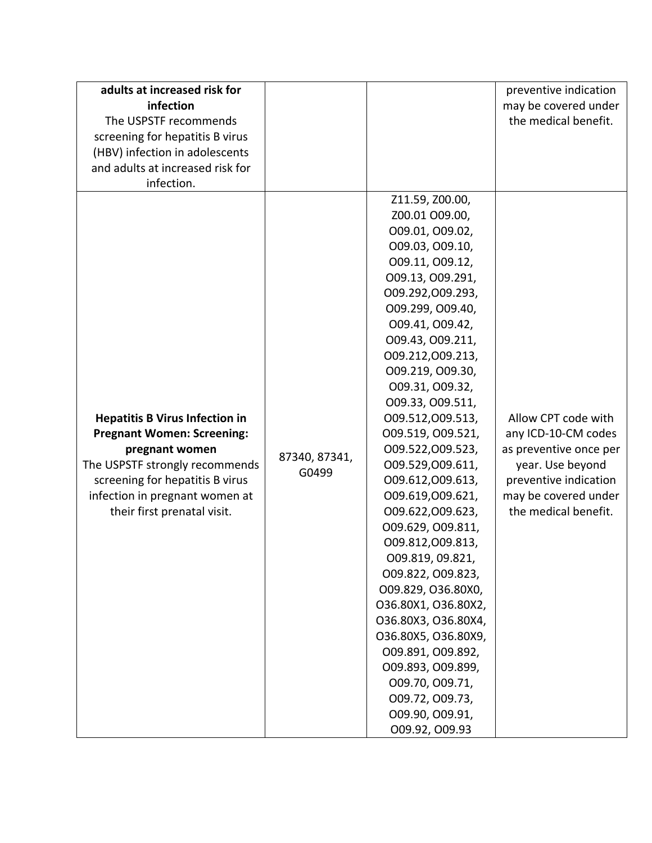| adults at increased risk for<br>infection<br>The USPSTF recommends<br>screening for hepatitis B virus<br>(HBV) infection in adolescents<br>and adults at increased risk for<br>infection.                                          |                        |                                                                                                                                                                                                                                                                                                                                                                                                                                                                                                                                                                                                                                                                                                                             | preventive indication<br>may be covered under<br>the medical benefit.                                                                                             |
|------------------------------------------------------------------------------------------------------------------------------------------------------------------------------------------------------------------------------------|------------------------|-----------------------------------------------------------------------------------------------------------------------------------------------------------------------------------------------------------------------------------------------------------------------------------------------------------------------------------------------------------------------------------------------------------------------------------------------------------------------------------------------------------------------------------------------------------------------------------------------------------------------------------------------------------------------------------------------------------------------------|-------------------------------------------------------------------------------------------------------------------------------------------------------------------|
| <b>Hepatitis B Virus Infection in</b><br><b>Pregnant Women: Screening:</b><br>pregnant women<br>The USPSTF strongly recommends<br>screening for hepatitis B virus<br>infection in pregnant women at<br>their first prenatal visit. | 87340, 87341,<br>G0499 | Z11.59, Z00.00,<br>Z00.01 O09.00,<br>009.01, 009.02,<br>009.03, 009.10,<br>009.11, 009.12,<br>009.13, 009.291,<br>009.292,009.293,<br>O09.299, O09.40,<br>009.41, 009.42,<br>009.43, 009.211,<br>009.212,009.213,<br>009.219, 009.30,<br>009.31, 009.32,<br>009.33, 009.511,<br>009.512,009.513,<br>009.519, 009.521,<br>009.522,009.523,<br>009.529,009.611,<br>009.612,009.613,<br>009.619,009.621,<br>009.622,009.623,<br>009.629, 009.811,<br>009.812,009.813,<br>009.819, 09.821,<br>009.822, 009.823,<br>O09.829, O36.80X0,<br>O36.80X1, O36.80X2,<br>O36.80X3, O36.80X4,<br>O36.80X5, O36.80X9,<br>009.891, 009.892,<br>O09.893, O09.899,<br>009.70, 009.71,<br>009.72, 009.73,<br>009.90, 009.91,<br>009.92, 009.93 | Allow CPT code with<br>any ICD-10-CM codes<br>as preventive once per<br>year. Use beyond<br>preventive indication<br>may be covered under<br>the medical benefit. |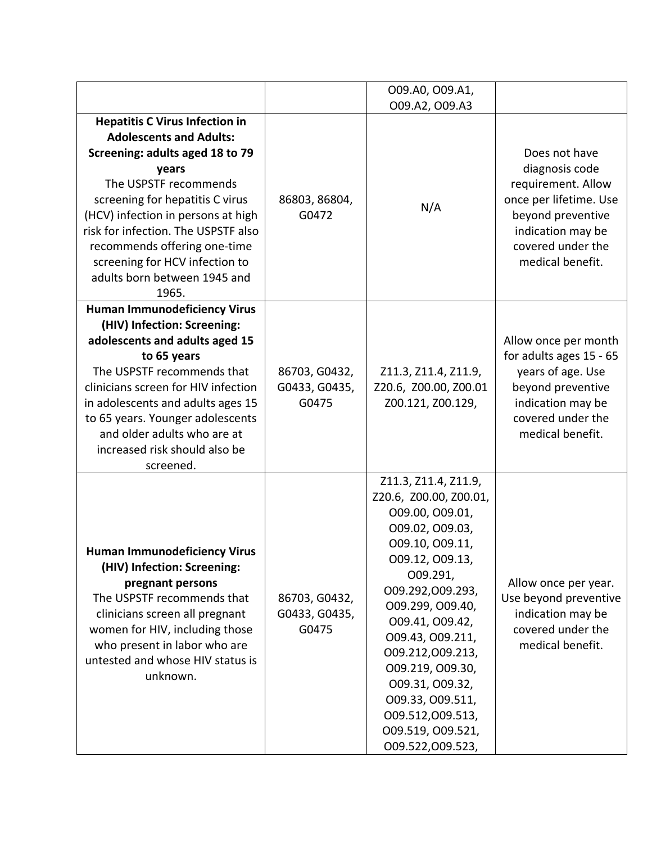|                                                                                                                                                                                                                                                                                                                                                                         |                                         | 009.A0, 009.A1,<br>009.A2, 009.A3                                                                                                                                                                                                                                                                                                                                 |                                                                                                                                                                    |
|-------------------------------------------------------------------------------------------------------------------------------------------------------------------------------------------------------------------------------------------------------------------------------------------------------------------------------------------------------------------------|-----------------------------------------|-------------------------------------------------------------------------------------------------------------------------------------------------------------------------------------------------------------------------------------------------------------------------------------------------------------------------------------------------------------------|--------------------------------------------------------------------------------------------------------------------------------------------------------------------|
| <b>Hepatitis C Virus Infection in</b><br><b>Adolescents and Adults:</b><br>Screening: adults aged 18 to 79<br>years<br>The USPSTF recommends<br>screening for hepatitis C virus<br>(HCV) infection in persons at high<br>risk for infection. The USPSTF also<br>recommends offering one-time<br>screening for HCV infection to<br>adults born between 1945 and<br>1965. | 86803, 86804,<br>G0472                  | N/A                                                                                                                                                                                                                                                                                                                                                               | Does not have<br>diagnosis code<br>requirement. Allow<br>once per lifetime. Use<br>beyond preventive<br>indication may be<br>covered under the<br>medical benefit. |
| <b>Human Immunodeficiency Virus</b><br>(HIV) Infection: Screening:<br>adolescents and adults aged 15<br>to 65 years<br>The USPSTF recommends that<br>clinicians screen for HIV infection<br>in adolescents and adults ages 15<br>to 65 years. Younger adolescents<br>and older adults who are at<br>increased risk should also be<br>screened.                          | 86703, G0432,<br>G0433, G0435,<br>G0475 | Z11.3, Z11.4, Z11.9,<br>Z20.6, Z00.00, Z00.01<br>Z00.121, Z00.129,                                                                                                                                                                                                                                                                                                | Allow once per month<br>for adults ages 15 - 65<br>years of age. Use<br>beyond preventive<br>indication may be<br>covered under the<br>medical benefit.            |
| <b>Human Immunodeficiency Virus</b><br>(HIV) Infection: Screening:<br>pregnant persons<br>The USPSTF recommends that<br>clinicians screen all pregnant<br>women for HIV, including those<br>who present in labor who are<br>untested and whose HIV status is<br>unknown.                                                                                                | 86703, G0432,<br>G0433, G0435,<br>G0475 | Z11.3, Z11.4, Z11.9,<br>Z20.6, Z00.00, Z00.01,<br>009.00, 009.01,<br>009.02, 009.03,<br>009.10, 009.11,<br>009.12, 009.13,<br>009.291,<br>009.292,009.293,<br>009.299, 009.40,<br>009.41, 009.42,<br>009.43, 009.211,<br>009.212,009.213,<br>009.219, 009.30,<br>009.31, 009.32,<br>009.33, 009.511,<br>009.512,009.513,<br>009.519, 009.521,<br>009.522,009.523, | Allow once per year.<br>Use beyond preventive<br>indication may be<br>covered under the<br>medical benefit.                                                        |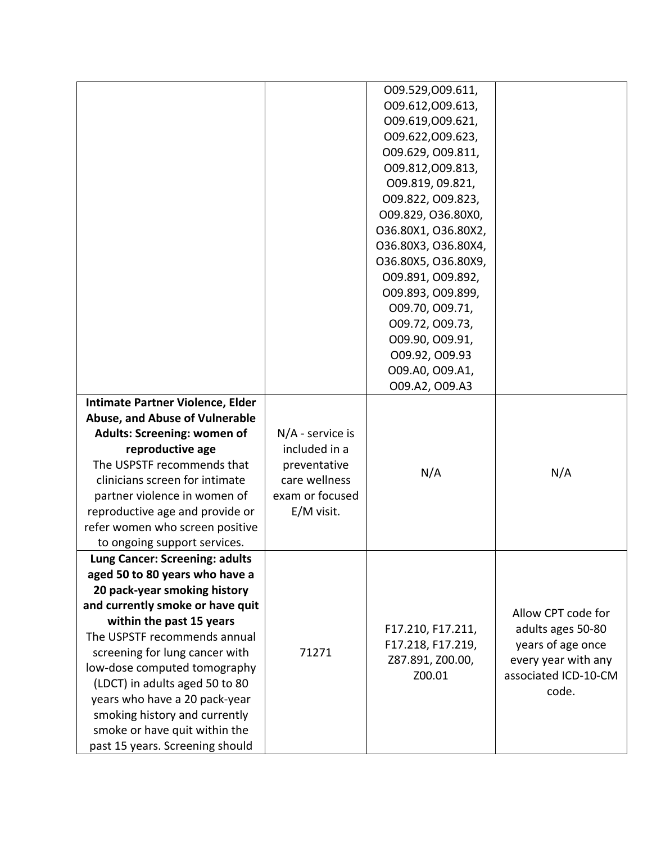|                                    |                  | 009.529,009.611,           |                                             |
|------------------------------------|------------------|----------------------------|---------------------------------------------|
|                                    |                  | 009.612,009.613,           |                                             |
|                                    |                  | 009.619,009.621,           |                                             |
|                                    |                  | 009.622,009.623,           |                                             |
|                                    |                  | 009.629, 009.811,          |                                             |
|                                    |                  | 009.812,009.813,           |                                             |
|                                    |                  | 009.819, 09.821,           |                                             |
|                                    |                  | 009.822, 009.823,          |                                             |
|                                    |                  | O09.829, O36.80X0,         |                                             |
|                                    |                  | O36.80X1, O36.80X2,        |                                             |
|                                    |                  | O36.80X3, O36.80X4,        |                                             |
|                                    |                  | O36.80X5, O36.80X9,        |                                             |
|                                    |                  | 009.891, 009.892,          |                                             |
|                                    |                  | 009.893, 009.899,          |                                             |
|                                    |                  | 009.70, 009.71,            |                                             |
|                                    |                  | 009.72, 009.73,            |                                             |
|                                    |                  | 009.90, 009.91,            |                                             |
|                                    |                  | 009.92, 009.93             |                                             |
|                                    |                  | 009.A0, 009.A1,            |                                             |
|                                    |                  | 009.A2, 009.A3             |                                             |
| Intimate Partner Violence, Elder   |                  |                            |                                             |
| Abuse, and Abuse of Vulnerable     |                  |                            |                                             |
| <b>Adults: Screening: women of</b> | N/A - service is |                            |                                             |
| reproductive age                   | included in a    |                            |                                             |
| The USPSTF recommends that         | preventative     |                            |                                             |
| clinicians screen for intimate     | care wellness    | N/A                        | N/A                                         |
| partner violence in women of       | exam or focused  |                            |                                             |
| reproductive age and provide or    | E/M visit.       |                            |                                             |
| refer women who screen positive    |                  |                            |                                             |
| to ongoing support services.       |                  |                            |                                             |
| Lung Cancer: Screening: adults     |                  |                            |                                             |
| aged 50 to 80 years who have a     |                  |                            |                                             |
| 20 pack-year smoking history       |                  |                            |                                             |
| and currently smoke or have quit   |                  |                            | Allow CPT code for                          |
| within the past 15 years           |                  |                            |                                             |
| The USPSTF recommends annual       |                  | F17.210, F17.211,          | adults ages 50-80<br>years of age once      |
| screening for lung cancer with     | 71271            | F17.218, F17.219,          |                                             |
| low-dose computed tomography       |                  | Z87.891, Z00.00,<br>Z00.01 | every year with any<br>associated ICD-10-CM |
| (LDCT) in adults aged 50 to 80     |                  |                            |                                             |
| years who have a 20 pack-year      |                  |                            | code.                                       |
| smoking history and currently      |                  |                            |                                             |
| smoke or have quit within the      |                  |                            |                                             |
| past 15 years. Screening should    |                  |                            |                                             |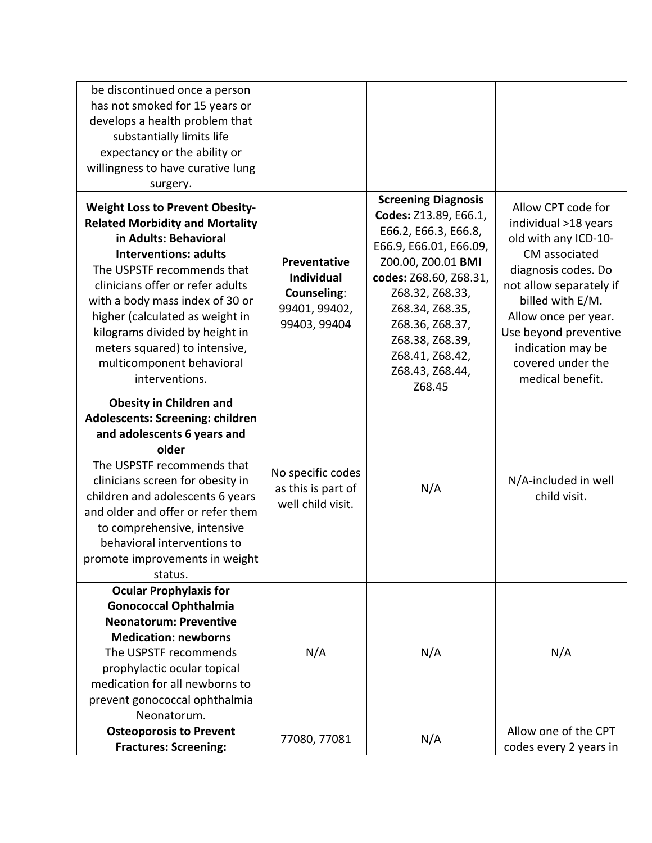| be discontinued once a person<br>has not smoked for 15 years or<br>develops a health problem that<br>substantially limits life<br>expectancy or the ability or<br>willingness to have curative lung<br>surgery.                                                                                                                                                                                     |                                                                                          |                                                                                                                                                                                                                                                                                   |                                                                                                                                                                                                                                                                          |
|-----------------------------------------------------------------------------------------------------------------------------------------------------------------------------------------------------------------------------------------------------------------------------------------------------------------------------------------------------------------------------------------------------|------------------------------------------------------------------------------------------|-----------------------------------------------------------------------------------------------------------------------------------------------------------------------------------------------------------------------------------------------------------------------------------|--------------------------------------------------------------------------------------------------------------------------------------------------------------------------------------------------------------------------------------------------------------------------|
| <b>Weight Loss to Prevent Obesity-</b><br><b>Related Morbidity and Mortality</b><br>in Adults: Behavioral<br><b>Interventions: adults</b><br>The USPSTF recommends that<br>clinicians offer or refer adults<br>with a body mass index of 30 or<br>higher (calculated as weight in<br>kilograms divided by height in<br>meters squared) to intensive,<br>multicomponent behavioral<br>interventions. | <b>Preventative</b><br><b>Individual</b><br>Counseling:<br>99401, 99402,<br>99403, 99404 | <b>Screening Diagnosis</b><br>Codes: Z13.89, E66.1,<br>E66.2, E66.3, E66.8,<br>E66.9, E66.01, E66.09,<br>Z00.00, Z00.01 BMI<br>codes: Z68.60, Z68.31,<br>Z68.32, Z68.33,<br>Z68.34, Z68.35,<br>Z68.36, Z68.37,<br>Z68.38, Z68.39,<br>Z68.41, Z68.42,<br>Z68.43, Z68.44,<br>Z68.45 | Allow CPT code for<br>individual >18 years<br>old with any ICD-10-<br>CM associated<br>diagnosis codes. Do<br>not allow separately if<br>billed with E/M.<br>Allow once per year.<br>Use beyond preventive<br>indication may be<br>covered under the<br>medical benefit. |
| <b>Obesity in Children and</b><br>Adolescents: Screening: children<br>and adolescents 6 years and<br>older<br>The USPSTF recommends that<br>clinicians screen for obesity in<br>children and adolescents 6 years<br>and older and offer or refer them<br>to comprehensive, intensive<br>behavioral interventions to<br>promote improvements in weight<br>status.                                    | No specific codes<br>as this is part of<br>well child visit.                             | N/A                                                                                                                                                                                                                                                                               | N/A-included in well<br>child visit.                                                                                                                                                                                                                                     |
| <b>Ocular Prophylaxis for</b><br><b>Gonococcal Ophthalmia</b><br><b>Neonatorum: Preventive</b><br><b>Medication: newborns</b><br>The USPSTF recommends<br>prophylactic ocular topical<br>medication for all newborns to<br>prevent gonococcal ophthalmia<br>Neonatorum.                                                                                                                             | N/A                                                                                      | N/A                                                                                                                                                                                                                                                                               | N/A                                                                                                                                                                                                                                                                      |
| <b>Osteoporosis to Prevent</b><br><b>Fractures: Screening:</b>                                                                                                                                                                                                                                                                                                                                      | 77080, 77081                                                                             | N/A                                                                                                                                                                                                                                                                               | Allow one of the CPT<br>codes every 2 years in                                                                                                                                                                                                                           |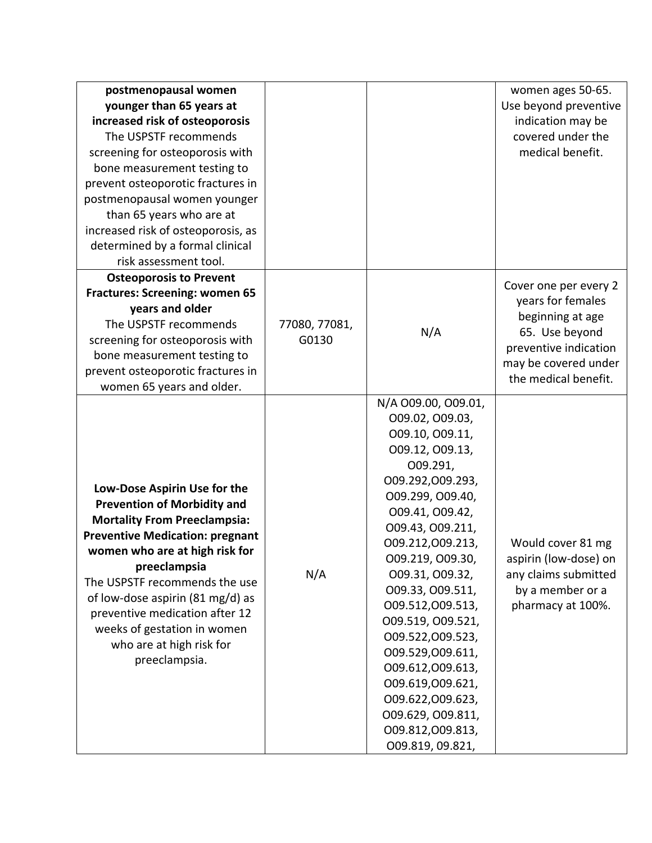| postmenopausal women<br>younger than 65 years at<br>increased risk of osteoporosis<br>The USPSTF recommends<br>screening for osteoporosis with<br>bone measurement testing to<br>prevent osteoporotic fractures in<br>postmenopausal women younger<br>than 65 years who are at<br>increased risk of osteoporosis, as<br>determined by a formal clinical<br>risk assessment tool.         |                        |                                                                                                                                                                                                                                                                                                                                                                                                                                                                  | women ages 50-65.<br>Use beyond preventive<br>indication may be<br>covered under the<br>medical benefit.                                                  |
|------------------------------------------------------------------------------------------------------------------------------------------------------------------------------------------------------------------------------------------------------------------------------------------------------------------------------------------------------------------------------------------|------------------------|------------------------------------------------------------------------------------------------------------------------------------------------------------------------------------------------------------------------------------------------------------------------------------------------------------------------------------------------------------------------------------------------------------------------------------------------------------------|-----------------------------------------------------------------------------------------------------------------------------------------------------------|
| <b>Osteoporosis to Prevent</b><br><b>Fractures: Screening: women 65</b><br>years and older<br>The USPSTF recommends<br>screening for osteoporosis with<br>bone measurement testing to<br>prevent osteoporotic fractures in<br>women 65 years and older.                                                                                                                                  | 77080, 77081,<br>G0130 | N/A                                                                                                                                                                                                                                                                                                                                                                                                                                                              | Cover one per every 2<br>years for females<br>beginning at age<br>65. Use beyond<br>preventive indication<br>may be covered under<br>the medical benefit. |
| Low-Dose Aspirin Use for the<br><b>Prevention of Morbidity and</b><br><b>Mortality From Preeclampsia:</b><br><b>Preventive Medication: pregnant</b><br>women who are at high risk for<br>preeclampsia<br>The USPSTF recommends the use<br>of low-dose aspirin (81 mg/d) as<br>preventive medication after 12<br>weeks of gestation in women<br>who are at high risk for<br>preeclampsia. | N/A                    | N/A 009.00, 009.01,<br>009.02, 009.03,<br>009.10, 009.11,<br>009.12, 009.13,<br>O09.291,<br>009.292,009.293,<br>O09.299, O09.40,<br>009.41, 009.42,<br>009.43, 009.211,<br>009.212,009.213,<br>009.219, 009.30,<br>009.31, 009.32,<br>009.33, 009.511,<br>009.512,009.513,<br>009.519, 009.521,<br>009.522,009.523,<br>009.529,009.611,<br>009.612,009.613,<br>009.619,009.621,<br>009.622,009.623,<br>009.629, 009.811,<br>009.812,009.813,<br>009.819, 09.821, | Would cover 81 mg<br>aspirin (low-dose) on<br>any claims submitted<br>by a member or a<br>pharmacy at 100%.                                               |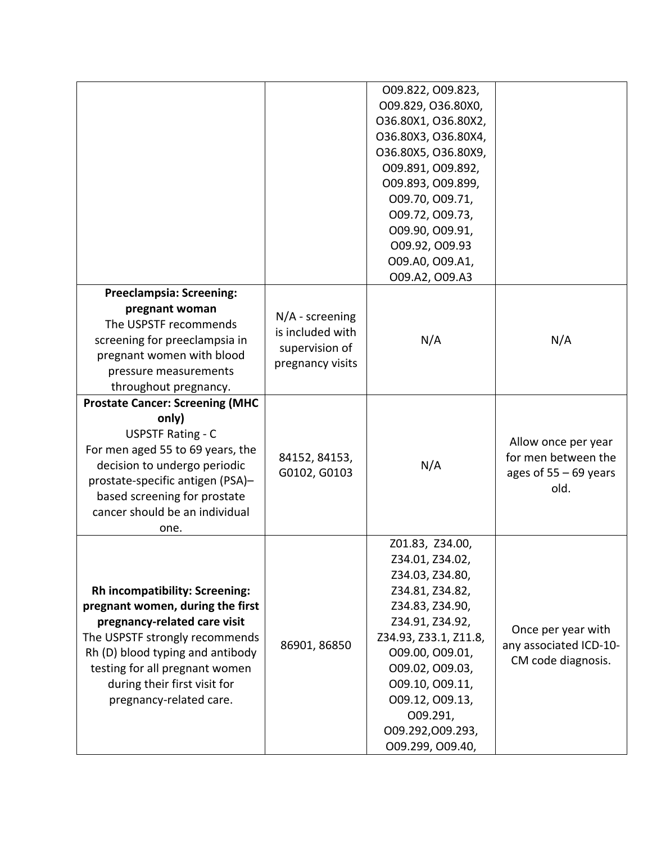|                                        |                   | 009.822, 009.823,     |                         |
|----------------------------------------|-------------------|-----------------------|-------------------------|
|                                        |                   | O09.829, O36.80X0,    |                         |
|                                        |                   | 036.80X1, 036.80X2,   |                         |
|                                        |                   | O36.80X3, O36.80X4,   |                         |
|                                        |                   | O36.80X5, O36.80X9,   |                         |
|                                        |                   | 009.891, 009.892,     |                         |
|                                        |                   | 009.893, 009.899,     |                         |
|                                        |                   | 009.70, 009.71,       |                         |
|                                        |                   | 009.72, 009.73,       |                         |
|                                        |                   | O09.90, O09.91,       |                         |
|                                        |                   | 009.92, 009.93        |                         |
|                                        |                   | 009.A0, 009.A1,       |                         |
|                                        |                   | 009.A2, 009.A3        |                         |
| <b>Preeclampsia: Screening:</b>        |                   |                       |                         |
| pregnant woman                         |                   |                       |                         |
| The USPSTF recommends                  | $N/A$ - screening |                       |                         |
| screening for preeclampsia in          | is included with  | N/A                   | N/A                     |
| pregnant women with blood              | supervision of    |                       |                         |
|                                        | pregnancy visits  |                       |                         |
| pressure measurements                  |                   |                       |                         |
| throughout pregnancy.                  |                   |                       |                         |
| <b>Prostate Cancer: Screening (MHC</b> |                   |                       |                         |
| only)                                  |                   |                       |                         |
| <b>USPSTF Rating - C</b>               |                   |                       | Allow once per year     |
| For men aged 55 to 69 years, the       | 84152, 84153,     |                       | for men between the     |
| decision to undergo periodic           | G0102, G0103      | N/A                   | ages of $55 - 69$ years |
| prostate-specific antigen (PSA)-       |                   |                       | old.                    |
| based screening for prostate           |                   |                       |                         |
| cancer should be an individual         |                   |                       |                         |
| one.                                   |                   |                       |                         |
|                                        |                   | Z01.83, Z34.00,       |                         |
|                                        |                   | Z34.01, Z34.02,       |                         |
|                                        |                   | Z34.03, Z34.80,       |                         |
| <b>Rh incompatibility: Screening:</b>  |                   | Z34.81, Z34.82,       |                         |
| pregnant women, during the first       |                   | Z34.83, Z34.90,       |                         |
| pregnancy-related care visit           |                   | Z34.91, Z34.92,       | Once per year with      |
| The USPSTF strongly recommends         |                   | Z34.93, Z33.1, Z11.8, |                         |
| Rh (D) blood typing and antibody       | 86901, 86850      | 009.00, 009.01,       | any associated ICD-10-  |
| testing for all pregnant women         |                   | 009.02, 009.03,       | CM code diagnosis.      |
| during their first visit for           |                   | 009.10, 009.11,       |                         |
| pregnancy-related care.                |                   | 009.12, 009.13,       |                         |
|                                        |                   | O09.291,              |                         |
|                                        |                   | 009.292,009.293,      |                         |
|                                        |                   | 009.299, 009.40,      |                         |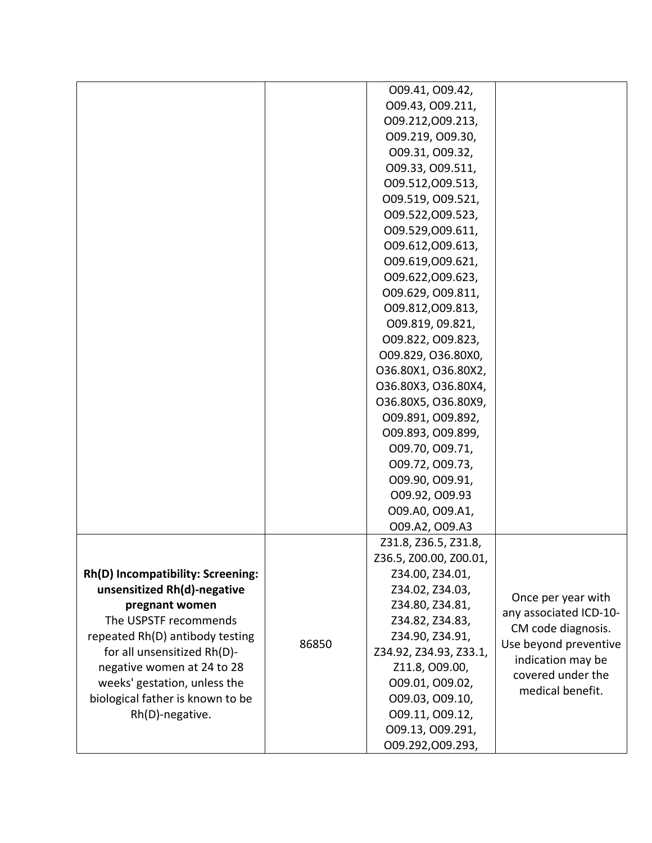|                                   |       | 009.41, 009.42,        |                        |
|-----------------------------------|-------|------------------------|------------------------|
|                                   |       | 009.43, 009.211,       |                        |
|                                   |       | 009.212,009.213,       |                        |
|                                   |       | 009.219, 009.30,       |                        |
|                                   |       | 009.31, 009.32,        |                        |
|                                   |       | 009.33, 009.511,       |                        |
|                                   |       | 009.512,009.513,       |                        |
|                                   |       | 009.519, 009.521,      |                        |
|                                   |       | 009.522,009.523,       |                        |
|                                   |       | 009.529,009.611,       |                        |
|                                   |       | 009.612,009.613,       |                        |
|                                   |       | 009.619,009.621,       |                        |
|                                   |       | 009.622,009.623,       |                        |
|                                   |       | 009.629, 009.811,      |                        |
|                                   |       | 009.812,009.813,       |                        |
|                                   |       | 009.819, 09.821,       |                        |
|                                   |       | 009.822, 009.823,      |                        |
|                                   |       | O09.829, O36.80X0,     |                        |
|                                   |       | 036.80X1, 036.80X2,    |                        |
|                                   |       | O36.80X3, O36.80X4,    |                        |
|                                   |       | O36.80X5, O36.80X9,    |                        |
|                                   |       | 009.891, 009.892,      |                        |
|                                   |       | 009.893, 009.899,      |                        |
|                                   |       | 009.70, 009.71,        |                        |
|                                   |       | 009.72, 009.73,        |                        |
|                                   |       | 009.90, 009.91,        |                        |
|                                   |       | 009.92, 009.93         |                        |
|                                   |       | 009.A0, 009.A1,        |                        |
|                                   |       | 009.A2, 009.A3         |                        |
|                                   |       | Z31.8, Z36.5, Z31.8,   |                        |
|                                   |       | Z36.5, Z00.00, Z00.01, |                        |
| Rh(D) Incompatibility: Screening: |       | Z34.00, Z34.01,        |                        |
| unsensitized Rh(d)-negative       |       | Z34.02, Z34.03,        |                        |
| pregnant women                    |       | Z34.80, Z34.81,        | Once per year with     |
| The USPSTF recommends             |       | Z34.82, Z34.83,        | any associated ICD-10- |
| repeated Rh(D) antibody testing   |       | Z34.90, Z34.91,        | CM code diagnosis.     |
| for all unsensitized Rh(D)-       | 86850 | Z34.92, Z34.93, Z33.1, | Use beyond preventive  |
| negative women at 24 to 28        |       | Z11.8, O09.00,         | indication may be      |
| weeks' gestation, unless the      |       | 009.01, 009.02,        | covered under the      |
| biological father is known to be  |       | 009.03, 009.10,        | medical benefit.       |
| Rh(D)-negative.                   |       | 009.11, 009.12,        |                        |
|                                   |       | 009.13, 009.291,       |                        |
|                                   |       | 009.292,009.293,       |                        |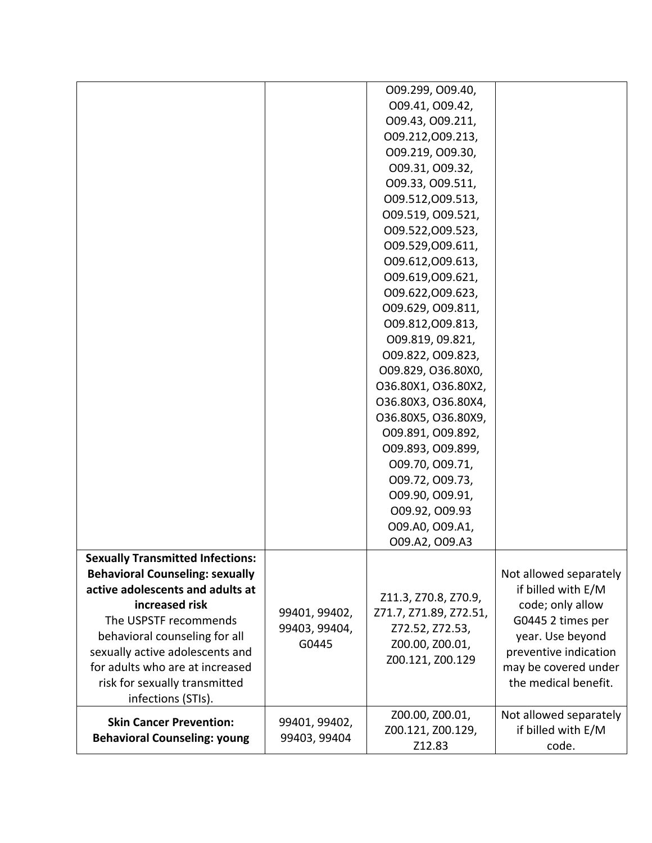|                                         |                                | O09.299, O09.40,       |                        |
|-----------------------------------------|--------------------------------|------------------------|------------------------|
|                                         |                                | 009.41, 009.42,        |                        |
|                                         |                                | 009.43, 009.211,       |                        |
|                                         |                                | 009.212,009.213,       |                        |
|                                         |                                | 009.219, 009.30,       |                        |
|                                         |                                | 009.31, 009.32,        |                        |
|                                         |                                | 009.33, 009.511,       |                        |
|                                         |                                | 009.512,009.513,       |                        |
|                                         |                                | 009.519, 009.521,      |                        |
|                                         |                                | 009.522,009.523,       |                        |
|                                         |                                | 009.529,009.611,       |                        |
|                                         |                                | 009.612,009.613,       |                        |
|                                         |                                | 009.619,009.621,       |                        |
|                                         |                                | 009.622,009.623,       |                        |
|                                         |                                | 009.629, 009.811,      |                        |
|                                         |                                | 009.812,009.813,       |                        |
|                                         |                                | 009.819, 09.821,       |                        |
|                                         |                                | 009.822, 009.823,      |                        |
|                                         |                                | O09.829, O36.80X0,     |                        |
|                                         |                                | O36.80X1, O36.80X2,    |                        |
|                                         |                                | O36.80X3, O36.80X4,    |                        |
|                                         |                                | O36.80X5, O36.80X9,    |                        |
|                                         |                                | 009.891, 009.892,      |                        |
|                                         |                                | 009.893, 009.899,      |                        |
|                                         |                                | 009.70, 009.71,        |                        |
|                                         |                                | 009.72, 009.73,        |                        |
|                                         |                                | 009.90, 009.91,        |                        |
|                                         |                                | 009.92, 009.93         |                        |
|                                         |                                | 009.A0, 009.A1,        |                        |
|                                         |                                | 009.A2, 009.A3         |                        |
| <b>Sexually Transmitted Infections:</b> |                                |                        |                        |
| <b>Behavioral Counseling: sexually</b>  |                                |                        | Not allowed separately |
| active adolescents and adults at        |                                | Z11.3, Z70.8, Z70.9,   | if billed with E/M     |
| increased risk                          |                                | Z71.7, Z71.89, Z72.51, | code; only allow       |
| The USPSTF recommends                   | 99401, 99402,<br>99403, 99404, | Z72.52, Z72.53,        | G0445 2 times per      |
| behavioral counseling for all           | G0445                          | Z00.00, Z00.01,        | year. Use beyond       |
| sexually active adolescents and         |                                | Z00.121, Z00.129       | preventive indication  |
| for adults who are at increased         |                                |                        | may be covered under   |
| risk for sexually transmitted           |                                |                        | the medical benefit.   |
| infections (STIs).                      |                                |                        |                        |
| <b>Skin Cancer Prevention:</b>          | 99401, 99402,                  | Z00.00, Z00.01,        | Not allowed separately |
| <b>Behavioral Counseling: young</b>     | 99403, 99404                   | Z00.121, Z00.129,      | if billed with E/M     |
|                                         |                                | Z12.83                 | code.                  |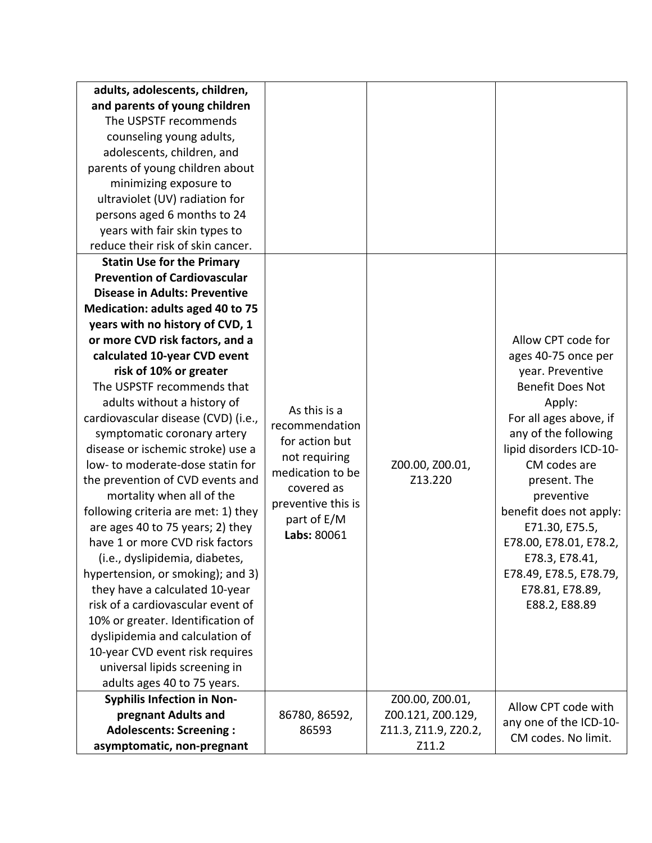| adults, adolescents, children,       |                    |                      |                         |
|--------------------------------------|--------------------|----------------------|-------------------------|
| and parents of young children        |                    |                      |                         |
| The USPSTF recommends                |                    |                      |                         |
| counseling young adults,             |                    |                      |                         |
| adolescents, children, and           |                    |                      |                         |
| parents of young children about      |                    |                      |                         |
| minimizing exposure to               |                    |                      |                         |
| ultraviolet (UV) radiation for       |                    |                      |                         |
| persons aged 6 months to 24          |                    |                      |                         |
| years with fair skin types to        |                    |                      |                         |
| reduce their risk of skin cancer.    |                    |                      |                         |
| <b>Statin Use for the Primary</b>    |                    |                      |                         |
| <b>Prevention of Cardiovascular</b>  |                    |                      |                         |
| <b>Disease in Adults: Preventive</b> |                    |                      |                         |
| Medication: adults aged 40 to 75     |                    |                      |                         |
| years with no history of CVD, 1      |                    |                      |                         |
| or more CVD risk factors, and a      |                    |                      | Allow CPT code for      |
| calculated 10-year CVD event         |                    |                      | ages 40-75 once per     |
| risk of 10% or greater               |                    |                      | year. Preventive        |
| The USPSTF recommends that           |                    |                      | <b>Benefit Does Not</b> |
| adults without a history of          | As this is a       |                      | Apply:                  |
| cardiovascular disease (CVD) (i.e.,  | recommendation     |                      | For all ages above, if  |
| symptomatic coronary artery          | for action but     |                      | any of the following    |
| disease or ischemic stroke) use a    | not requiring      |                      | lipid disorders ICD-10- |
| low- to moderate-dose statin for     | medication to be   | Z00.00, Z00.01,      | CM codes are            |
| the prevention of CVD events and     | covered as         | Z13.220              | present. The            |
| mortality when all of the            | preventive this is |                      | preventive              |
| following criteria are met: 1) they  | part of E/M        |                      | benefit does not apply: |
| are ages 40 to 75 years; 2) they     | Labs: 80061        |                      | E71.30, E75.5,          |
| have 1 or more CVD risk factors      |                    |                      | E78.00, E78.01, E78.2,  |
| (i.e., dyslipidemia, diabetes,       |                    |                      | E78.3, E78.41,          |
| hypertension, or smoking); and 3)    |                    |                      | E78.49, E78.5, E78.79,  |
| they have a calculated 10-year       |                    |                      | E78.81, E78.89,         |
| risk of a cardiovascular event of    |                    |                      | E88.2, E88.89           |
| 10% or greater. Identification of    |                    |                      |                         |
| dyslipidemia and calculation of      |                    |                      |                         |
| 10-year CVD event risk requires      |                    |                      |                         |
| universal lipids screening in        |                    |                      |                         |
| adults ages 40 to 75 years.          |                    |                      |                         |
| <b>Syphilis Infection in Non-</b>    |                    | Z00.00, Z00.01,      | Allow CPT code with     |
| pregnant Adults and                  | 86780, 86592,      | Z00.121, Z00.129,    | any one of the ICD-10-  |
| <b>Adolescents: Screening:</b>       | 86593              | Z11.3, Z11.9, Z20.2, | CM codes. No limit.     |
| asymptomatic, non-pregnant           |                    | Z11.2                |                         |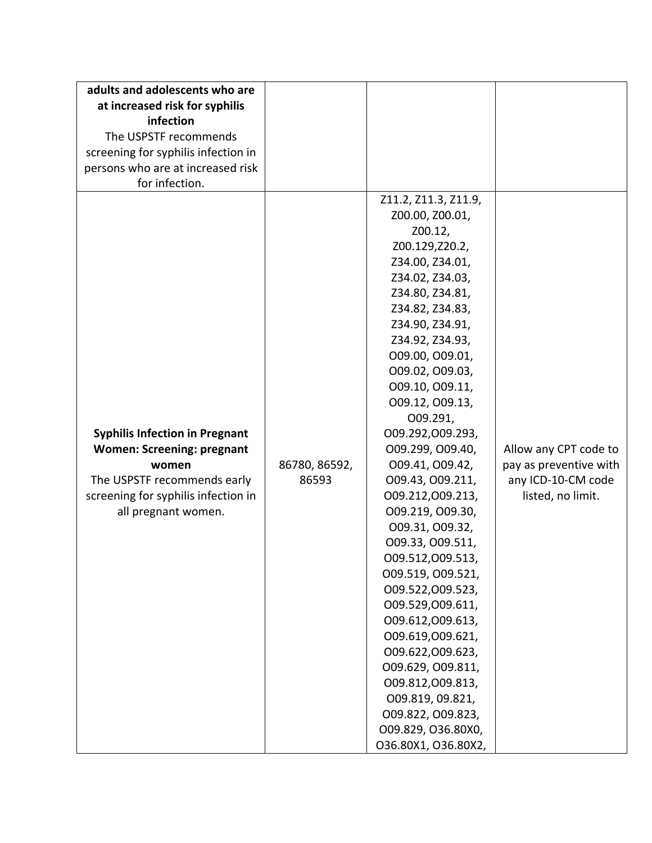| adults and adolescents who are<br>at increased risk for syphilis<br>infection<br>The USPSTF recommends<br>screening for syphilis infection in<br>persons who are at increased risk<br>for infection. |                        |                                                                                                                                                                                                                                                                                                                                                                                                                                                                                                                                                                                                                                                                                                                           |                                                                                            |
|------------------------------------------------------------------------------------------------------------------------------------------------------------------------------------------------------|------------------------|---------------------------------------------------------------------------------------------------------------------------------------------------------------------------------------------------------------------------------------------------------------------------------------------------------------------------------------------------------------------------------------------------------------------------------------------------------------------------------------------------------------------------------------------------------------------------------------------------------------------------------------------------------------------------------------------------------------------------|--------------------------------------------------------------------------------------------|
| <b>Syphilis Infection in Pregnant</b><br><b>Women: Screening: pregnant</b><br>women<br>The USPSTF recommends early<br>screening for syphilis infection in<br>all pregnant women.                     | 86780, 86592,<br>86593 | Z11.2, Z11.3, Z11.9,<br>Z00.00, Z00.01,<br>Z00.12,<br>Z00.129, Z20.2,<br>Z34.00, Z34.01,<br>Z34.02, Z34.03,<br>Z34.80, Z34.81,<br>Z34.82, Z34.83,<br>Z34.90, Z34.91,<br>Z34.92, Z34.93,<br>009.00, 009.01,<br>009.02, 009.03,<br>009.10, 009.11,<br>009.12, 009.13,<br>O09.291,<br>009.292,009.293,<br>009.299, 009.40,<br>009.41, 009.42,<br>009.43, 009.211,<br>009.212,009.213,<br>009.219, 009.30,<br>009.31, 009.32,<br>009.33, 009.511,<br>009.512,009.513,<br>009.519, 009.521,<br>009.522,009.523,<br>009.529,009.611,<br>009.612,009.613,<br>009.619,009.621,<br>009.622,009.623,<br>009.629, 009.811,<br>009.812,009.813,<br>009.819, 09.821,<br>009.822, 009.823,<br>O09.829, O36.80X0,<br>036.80X1, 036.80X2, | Allow any CPT code to<br>pay as preventive with<br>any ICD-10-CM code<br>listed, no limit. |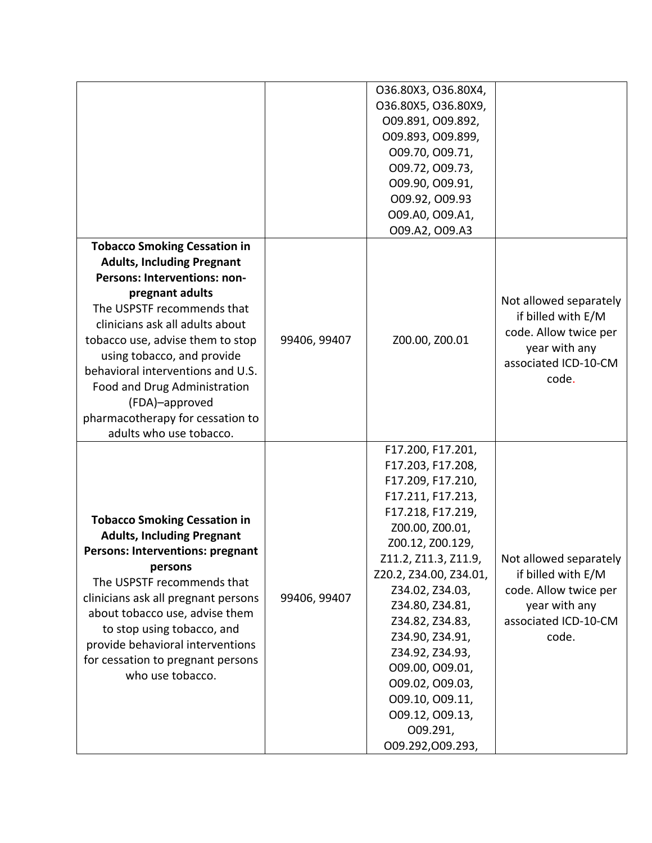|                                                                                                                                                                                                                                                                                                                                                                                                                      |              | O36.80X3, O36.80X4,<br>O36.80X5, O36.80X9,<br>009.891, 009.892,<br>009.893, 009.899,<br>009.70, 009.71,<br>009.72, 009.73,<br>009.90, 009.91,<br>009.92, 009.93<br>009.A0, 009.A1,<br>009.A2, 009.A3                                                                                                                                                                                                      |                                                                                                                         |
|----------------------------------------------------------------------------------------------------------------------------------------------------------------------------------------------------------------------------------------------------------------------------------------------------------------------------------------------------------------------------------------------------------------------|--------------|-----------------------------------------------------------------------------------------------------------------------------------------------------------------------------------------------------------------------------------------------------------------------------------------------------------------------------------------------------------------------------------------------------------|-------------------------------------------------------------------------------------------------------------------------|
| <b>Tobacco Smoking Cessation in</b><br><b>Adults, Including Pregnant</b><br>Persons: Interventions: non-<br>pregnant adults<br>The USPSTF recommends that<br>clinicians ask all adults about<br>tobacco use, advise them to stop<br>using tobacco, and provide<br>behavioral interventions and U.S.<br>Food and Drug Administration<br>(FDA)-approved<br>pharmacotherapy for cessation to<br>adults who use tobacco. | 99406, 99407 | Z00.00, Z00.01                                                                                                                                                                                                                                                                                                                                                                                            | Not allowed separately<br>if billed with E/M<br>code. Allow twice per<br>year with any<br>associated ICD-10-CM<br>code. |
| <b>Tobacco Smoking Cessation in</b><br><b>Adults, Including Pregnant</b><br><b>Persons: Interventions: pregnant</b><br>persons<br>The USPSTF recommends that<br>clinicians ask all pregnant persons<br>about tobacco use, advise them<br>to stop using tobacco, and<br>provide behavioral interventions<br>for cessation to pregnant persons<br>who use tobacco.                                                     | 99406, 99407 | F17.200, F17.201,<br>F17.203, F17.208,<br>F17.209, F17.210,<br>F17.211, F17.213,<br>F17.218, F17.219,<br>Z00.00, Z00.01,<br>Z00.12, Z00.129,<br>Z11.2, Z11.3, Z11.9,<br>Z20.2, Z34.00, Z34.01,<br>Z34.02, Z34.03,<br>Z34.80, Z34.81,<br>Z34.82, Z34.83,<br>Z34.90, Z34.91,<br>Z34.92, Z34.93,<br>009.00, 009.01,<br>009.02, 009.03,<br>009.10, 009.11,<br>009.12, 009.13,<br>O09.291,<br>009.292,009.293, | Not allowed separately<br>if billed with E/M<br>code. Allow twice per<br>year with any<br>associated ICD-10-CM<br>code. |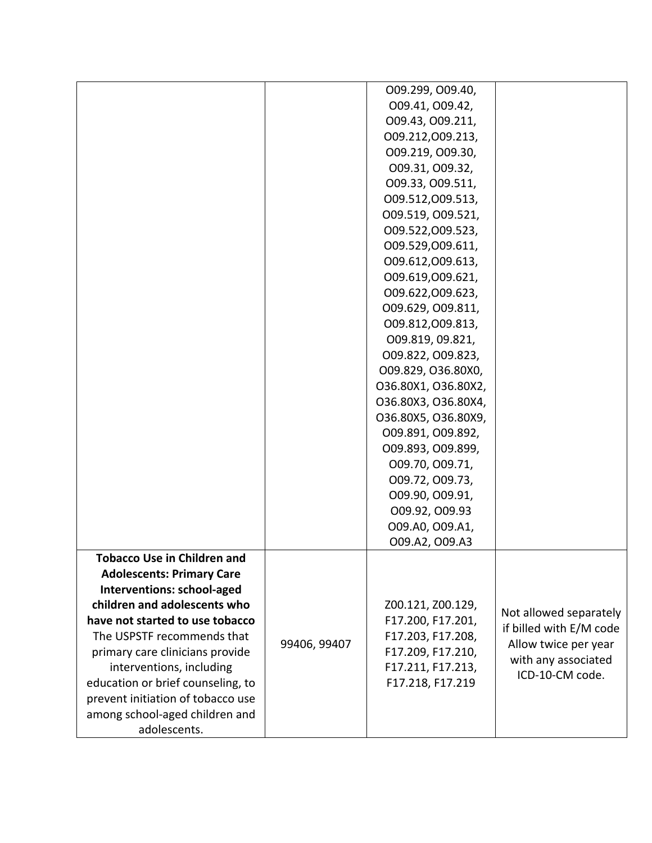| interventions, including<br>education or brief counseling, to<br>prevent initiation of tobacco use | 99406, 99407 | F17.203, F17.208,<br>F17.209, F17.210,<br>F17.211, F17.213,<br>F17.218, F17.219 | Allow twice per year<br>with any associated<br>ICD-10-CM code. |
|----------------------------------------------------------------------------------------------------|--------------|---------------------------------------------------------------------------------|----------------------------------------------------------------|
|                                                                                                    |              |                                                                                 |                                                                |
| primary care clinicians provide                                                                    |              |                                                                                 |                                                                |
| The USPSTF recommends that                                                                         |              |                                                                                 | if billed with E/M code                                        |
| have not started to use tobacco                                                                    |              | F17.200, F17.201,                                                               | Not allowed separately                                         |
| children and adolescents who                                                                       |              | Z00.121, Z00.129,                                                               |                                                                |
| Interventions: school-aged                                                                         |              |                                                                                 |                                                                |
| <b>Adolescents: Primary Care</b>                                                                   |              |                                                                                 |                                                                |
| <b>Tobacco Use in Children and</b>                                                                 |              |                                                                                 |                                                                |
|                                                                                                    |              | 009.A2, 009.A3                                                                  |                                                                |
|                                                                                                    |              | 009.A0, 009.A1,                                                                 |                                                                |
|                                                                                                    |              | 009.92, 009.93                                                                  |                                                                |
|                                                                                                    |              | 009.72, 009.73,<br>009.90, 009.91,                                              |                                                                |
|                                                                                                    |              | 009.70, 009.71,                                                                 |                                                                |
|                                                                                                    |              | 009.893, 009.899,                                                               |                                                                |
|                                                                                                    |              | 009.891, 009.892,                                                               |                                                                |
|                                                                                                    |              | O36.80X5, O36.80X9,                                                             |                                                                |
|                                                                                                    |              | O36.80X3, O36.80X4,                                                             |                                                                |
|                                                                                                    |              | 036.80X1, 036.80X2,                                                             |                                                                |
|                                                                                                    |              | O09.829, O36.80X0,                                                              |                                                                |
|                                                                                                    |              | 009.822, 009.823,                                                               |                                                                |
|                                                                                                    |              | 009.819, 09.821,                                                                |                                                                |
|                                                                                                    |              | 009.812,009.813,                                                                |                                                                |
|                                                                                                    |              | 009.629, 009.811,                                                               |                                                                |
|                                                                                                    |              | 009.622,009.623,                                                                |                                                                |
|                                                                                                    |              | 009.619,009.621,                                                                |                                                                |
|                                                                                                    |              | 009.612,009.613,                                                                |                                                                |
|                                                                                                    |              | 009.529,009.611,                                                                |                                                                |
|                                                                                                    |              | 009.522,009.523,                                                                |                                                                |
|                                                                                                    |              | 009.519, 009.521,                                                               |                                                                |
|                                                                                                    |              | 009.33, 009.511,<br>009.512,009.513,                                            |                                                                |
|                                                                                                    |              | 009.31, 009.32,                                                                 |                                                                |
|                                                                                                    |              | 009.219, 009.30,                                                                |                                                                |
|                                                                                                    |              | 009.212,009.213,                                                                |                                                                |
|                                                                                                    |              | 009.43, 009.211,                                                                |                                                                |
|                                                                                                    |              | 009.41, 009.42,                                                                 |                                                                |
|                                                                                                    |              | 009.299, 009.40,                                                                |                                                                |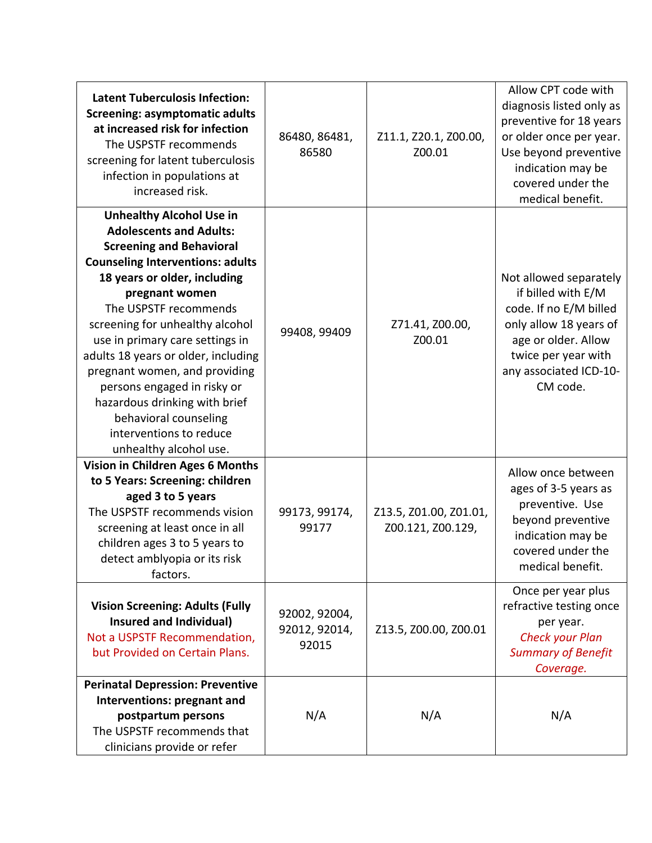| <b>Latent Tuberculosis Infection:</b><br><b>Screening: asymptomatic adults</b><br>at increased risk for infection<br>The USPSTF recommends<br>screening for latent tuberculosis<br>infection in populations at<br>increased risk.                                                                                                                                                                                                                                                                                      | 86480, 86481,<br>86580                  | Z11.1, Z20.1, Z00.00,<br>Z00.01             | Allow CPT code with<br>diagnosis listed only as<br>preventive for 18 years<br>or older once per year.<br>Use beyond preventive<br>indication may be<br>covered under the<br>medical benefit. |
|------------------------------------------------------------------------------------------------------------------------------------------------------------------------------------------------------------------------------------------------------------------------------------------------------------------------------------------------------------------------------------------------------------------------------------------------------------------------------------------------------------------------|-----------------------------------------|---------------------------------------------|----------------------------------------------------------------------------------------------------------------------------------------------------------------------------------------------|
| <b>Unhealthy Alcohol Use in</b><br><b>Adolescents and Adults:</b><br><b>Screening and Behavioral</b><br><b>Counseling Interventions: adults</b><br>18 years or older, including<br>pregnant women<br>The USPSTF recommends<br>screening for unhealthy alcohol<br>use in primary care settings in<br>adults 18 years or older, including<br>pregnant women, and providing<br>persons engaged in risky or<br>hazardous drinking with brief<br>behavioral counseling<br>interventions to reduce<br>unhealthy alcohol use. | 99408, 99409                            | Z71.41, Z00.00,<br>Z00.01                   | Not allowed separately<br>if billed with E/M<br>code. If no E/M billed<br>only allow 18 years of<br>age or older. Allow<br>twice per year with<br>any associated ICD-10-<br>CM code.         |
| <b>Vision in Children Ages 6 Months</b><br>to 5 Years: Screening: children<br>aged 3 to 5 years<br>The USPSTF recommends vision<br>screening at least once in all<br>children ages 3 to 5 years to<br>detect amblyopia or its risk<br>factors.                                                                                                                                                                                                                                                                         | 99173, 99174,<br>99177                  | Z13.5, Z01.00, Z01.01,<br>Z00.121, Z00.129, | Allow once between<br>ages of 3-5 years as<br>preventive. Use<br>beyond preventive<br>indication may be<br>covered under the<br>medical benefit.                                             |
| <b>Vision Screening: Adults (Fully</b><br><b>Insured and Individual)</b><br>Not a USPSTF Recommendation,<br>but Provided on Certain Plans.                                                                                                                                                                                                                                                                                                                                                                             | 92002, 92004,<br>92012, 92014,<br>92015 | Z13.5, Z00.00, Z00.01                       | Once per year plus<br>refractive testing once<br>per year.<br><b>Check your Plan</b><br><b>Summary of Benefit</b><br>Coverage.                                                               |
| <b>Perinatal Depression: Preventive</b><br>Interventions: pregnant and<br>postpartum persons<br>The USPSTF recommends that<br>clinicians provide or refer                                                                                                                                                                                                                                                                                                                                                              | N/A                                     | N/A                                         | N/A                                                                                                                                                                                          |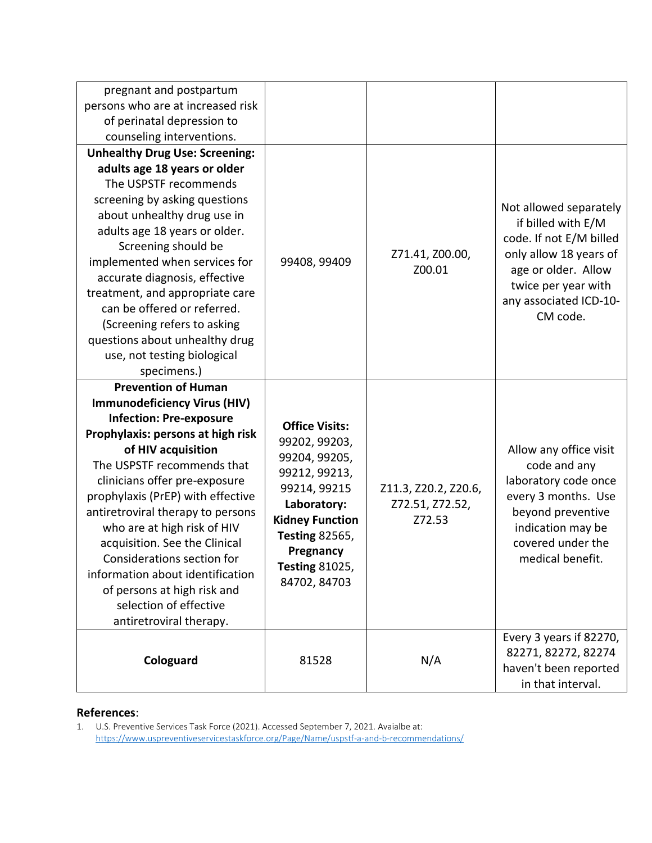| pregnant and postpartum<br>persons who are at increased risk<br>of perinatal depression to<br>counseling interventions.                                                                                                                                                                                                                                                                                                                                                                                                       |                                                                                                                                                                                                                  |                                                   |                                                                                                                                                                                       |
|-------------------------------------------------------------------------------------------------------------------------------------------------------------------------------------------------------------------------------------------------------------------------------------------------------------------------------------------------------------------------------------------------------------------------------------------------------------------------------------------------------------------------------|------------------------------------------------------------------------------------------------------------------------------------------------------------------------------------------------------------------|---------------------------------------------------|---------------------------------------------------------------------------------------------------------------------------------------------------------------------------------------|
| <b>Unhealthy Drug Use: Screening:</b><br>adults age 18 years or older<br>The USPSTF recommends<br>screening by asking questions<br>about unhealthy drug use in<br>adults age 18 years or older.<br>Screening should be<br>implemented when services for<br>accurate diagnosis, effective<br>treatment, and appropriate care<br>can be offered or referred.<br>(Screening refers to asking<br>questions about unhealthy drug<br>use, not testing biological<br>specimens.)                                                     | 99408, 99409                                                                                                                                                                                                     | Z71.41, Z00.00,<br>Z00.01                         | Not allowed separately<br>if billed with E/M<br>code. If not E/M billed<br>only allow 18 years of<br>age or older. Allow<br>twice per year with<br>any associated ICD-10-<br>CM code. |
| <b>Prevention of Human</b><br><b>Immunodeficiency Virus (HIV)</b><br><b>Infection: Pre-exposure</b><br>Prophylaxis: persons at high risk<br>of HIV acquisition<br>The USPSTF recommends that<br>clinicians offer pre-exposure<br>prophylaxis (PrEP) with effective<br>antiretroviral therapy to persons<br>who are at high risk of HIV<br>acquisition. See the Clinical<br>Considerations section for<br>information about identification<br>of persons at high risk and<br>selection of effective<br>antiretroviral therapy. | <b>Office Visits:</b><br>99202, 99203,<br>99204, 99205,<br>99212, 99213,<br>99214, 99215<br>Laboratory:<br><b>Kidney Function</b><br><b>Testing 82565,</b><br>Pregnancy<br><b>Testing 81025,</b><br>84702, 84703 | Z11.3, Z20.2, Z20.6,<br>Z72.51, Z72.52,<br>Z72.53 | Allow any office visit<br>code and any<br>laboratory code once<br>every 3 months. Use<br>beyond preventive<br>indication may be<br>covered under the<br>medical benefit.              |
| Cologuard                                                                                                                                                                                                                                                                                                                                                                                                                                                                                                                     | 81528                                                                                                                                                                                                            | N/A                                               | Every 3 years if 82270,<br>82271, 82272, 82274<br>haven't been reported<br>in that interval.                                                                                          |

### **References**:

1. U.S. Preventive Services Task Force (2021). Accessed September 7, 2021. Avaialbe at: <https://www.uspreventiveservicestaskforce.org/Page/Name/uspstf-a-and-b-recommendations/>